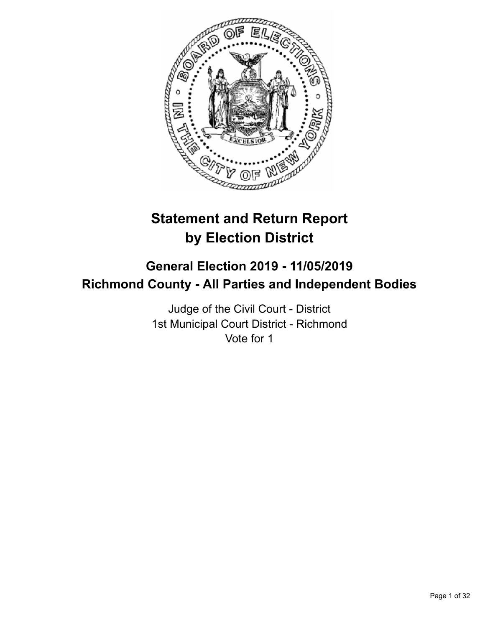

# **Statement and Return Report by Election District**

## **General Election 2019 - 11/05/2019 Richmond County - All Parties and Independent Bodies**

Judge of the Civil Court - District 1st Municipal Court District - Richmond Vote for 1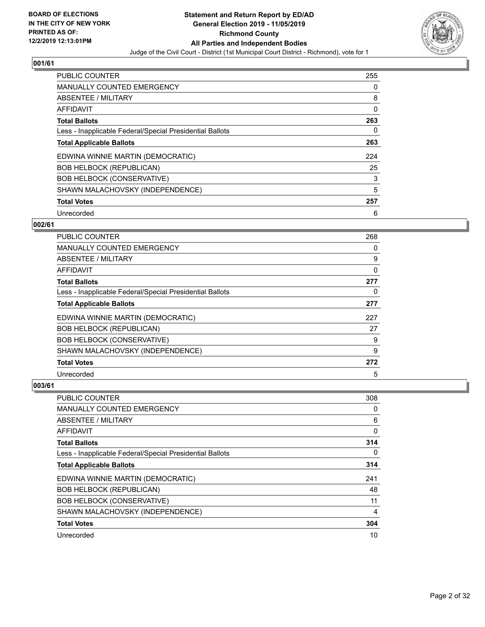

| <b>PUBLIC COUNTER</b>                                    | 255 |
|----------------------------------------------------------|-----|
| <b>MANUALLY COUNTED EMERGENCY</b>                        | 0   |
| ABSENTEE / MILITARY                                      | 8   |
| <b>AFFIDAVIT</b>                                         | 0   |
| <b>Total Ballots</b>                                     | 263 |
| Less - Inapplicable Federal/Special Presidential Ballots | 0   |
| <b>Total Applicable Ballots</b>                          | 263 |
| EDWINA WINNIE MARTIN (DEMOCRATIC)                        | 224 |
| <b>BOB HELBOCK (REPUBLICAN)</b>                          | 25  |
| <b>BOB HELBOCK (CONSERVATIVE)</b>                        | 3   |
| SHAWN MALACHOVSKY (INDEPENDENCE)                         | 5   |
| <b>Total Votes</b>                                       | 257 |
| Unrecorded                                               | 6   |

## **002/61**

| <b>PUBLIC COUNTER</b>                                    | 268 |
|----------------------------------------------------------|-----|
| MANUALLY COUNTED EMERGENCY                               | 0   |
| ABSENTEE / MILITARY                                      | 9   |
| AFFIDAVIT                                                | 0   |
| <b>Total Ballots</b>                                     | 277 |
| Less - Inapplicable Federal/Special Presidential Ballots | 0   |
| <b>Total Applicable Ballots</b>                          | 277 |
| EDWINA WINNIE MARTIN (DEMOCRATIC)                        | 227 |
| <b>BOB HELBOCK (REPUBLICAN)</b>                          | 27  |
| <b>BOB HELBOCK (CONSERVATIVE)</b>                        | 9   |
| SHAWN MALACHOVSKY (INDEPENDENCE)                         | 9   |
| <b>Total Votes</b>                                       | 272 |
| Unrecorded                                               | 5   |

| <b>PUBLIC COUNTER</b>                                    | 308 |
|----------------------------------------------------------|-----|
| MANUALLY COUNTED EMERGENCY                               | 0   |
| ABSENTEE / MILITARY                                      | 6   |
| AFFIDAVIT                                                | 0   |
| <b>Total Ballots</b>                                     | 314 |
| Less - Inapplicable Federal/Special Presidential Ballots | 0   |
| <b>Total Applicable Ballots</b>                          | 314 |
| EDWINA WINNIE MARTIN (DEMOCRATIC)                        | 241 |
| <b>BOB HELBOCK (REPUBLICAN)</b>                          | 48  |
| <b>BOB HELBOCK (CONSERVATIVE)</b>                        | 11  |
| SHAWN MALACHOVSKY (INDEPENDENCE)                         | 4   |
| <b>Total Votes</b>                                       | 304 |
| Unrecorded                                               | 10  |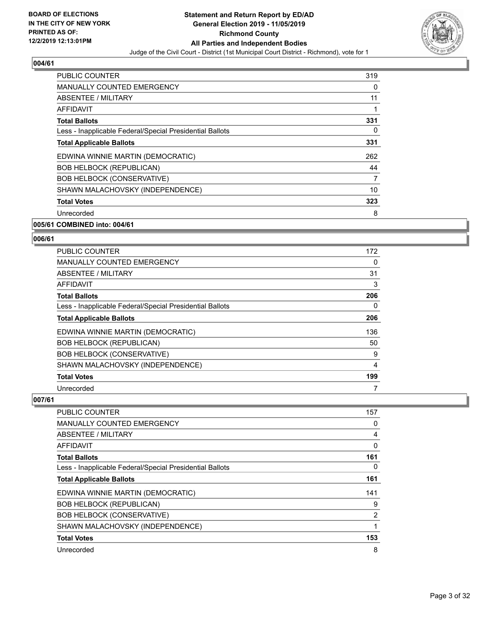

| <b>PUBLIC COUNTER</b>                                    | 319 |
|----------------------------------------------------------|-----|
| <b>MANUALLY COUNTED EMERGENCY</b>                        | 0   |
| ABSENTEE / MILITARY                                      | 11  |
| AFFIDAVIT                                                | 1   |
| <b>Total Ballots</b>                                     | 331 |
| Less - Inapplicable Federal/Special Presidential Ballots | 0   |
| <b>Total Applicable Ballots</b>                          | 331 |
| EDWINA WINNIE MARTIN (DEMOCRATIC)                        | 262 |
| <b>BOB HELBOCK (REPUBLICAN)</b>                          | 44  |
| <b>BOB HELBOCK (CONSERVATIVE)</b>                        | 7   |
| SHAWN MALACHOVSKY (INDEPENDENCE)                         | 10  |
| <b>Total Votes</b>                                       | 323 |
| Unrecorded                                               | 8   |

#### **005/61 COMBINED into: 004/61**

#### **006/61**

| PUBLIC COUNTER                                           | 172 |
|----------------------------------------------------------|-----|
| MANUALLY COUNTED EMERGENCY                               | 0   |
| ABSENTEE / MILITARY                                      | 31  |
| AFFIDAVIT                                                | 3   |
| <b>Total Ballots</b>                                     | 206 |
| Less - Inapplicable Federal/Special Presidential Ballots | 0   |
| <b>Total Applicable Ballots</b>                          | 206 |
| EDWINA WINNIE MARTIN (DEMOCRATIC)                        | 136 |
| <b>BOB HELBOCK (REPUBLICAN)</b>                          | 50  |
| <b>BOB HELBOCK (CONSERVATIVE)</b>                        | 9   |
| SHAWN MALACHOVSKY (INDEPENDENCE)                         | 4   |
| <b>Total Votes</b>                                       | 199 |
| Unrecorded                                               | 7   |

| PUBLIC COUNTER                                           | 157      |
|----------------------------------------------------------|----------|
| <b>MANUALLY COUNTED EMERGENCY</b>                        | 0        |
| ABSENTEE / MILITARY                                      | 4        |
| AFFIDAVIT                                                | $\Omega$ |
| <b>Total Ballots</b>                                     | 161      |
| Less - Inapplicable Federal/Special Presidential Ballots | 0        |
| <b>Total Applicable Ballots</b>                          | 161      |
| EDWINA WINNIE MARTIN (DEMOCRATIC)                        | 141      |
| <b>BOB HELBOCK (REPUBLICAN)</b>                          | 9        |
| <b>BOB HELBOCK (CONSERVATIVE)</b>                        | 2        |
| SHAWN MALACHOVSKY (INDEPENDENCE)                         | 1        |
| <b>Total Votes</b>                                       | 153      |
| Unrecorded                                               | 8        |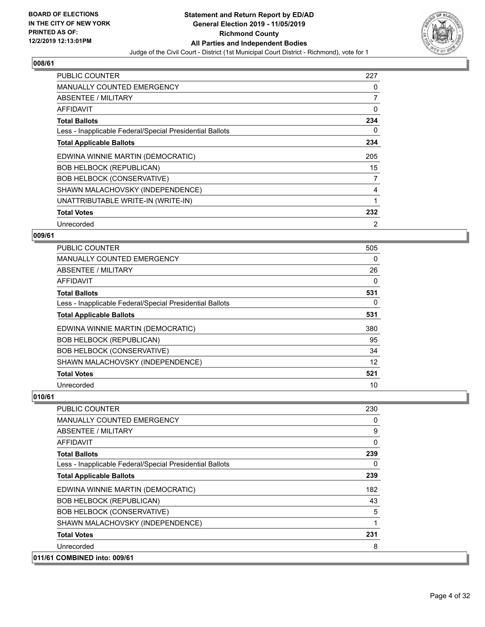

| <b>PUBLIC COUNTER</b>                                    | 227 |
|----------------------------------------------------------|-----|
| <b>MANUALLY COUNTED EMERGENCY</b>                        | 0   |
| <b>ABSENTEE / MILITARY</b>                               | 7   |
| <b>AFFIDAVIT</b>                                         | 0   |
| <b>Total Ballots</b>                                     | 234 |
| Less - Inapplicable Federal/Special Presidential Ballots | 0   |
| <b>Total Applicable Ballots</b>                          | 234 |
| EDWINA WINNIE MARTIN (DEMOCRATIC)                        | 205 |
| <b>BOB HELBOCK (REPUBLICAN)</b>                          | 15  |
| <b>BOB HELBOCK (CONSERVATIVE)</b>                        | 7   |
| SHAWN MALACHOVSKY (INDEPENDENCE)                         | 4   |
| UNATTRIBUTABLE WRITE-IN (WRITE-IN)                       | 1   |
| <b>Total Votes</b>                                       | 232 |
|                                                          |     |

## **009/61**

| <b>PUBLIC COUNTER</b>                                    | 505 |
|----------------------------------------------------------|-----|
| MANUALLY COUNTED EMERGENCY                               | 0   |
| ABSENTEE / MILITARY                                      | 26  |
| AFFIDAVIT                                                | 0   |
| <b>Total Ballots</b>                                     | 531 |
| Less - Inapplicable Federal/Special Presidential Ballots | 0   |
| <b>Total Applicable Ballots</b>                          | 531 |
| EDWINA WINNIE MARTIN (DEMOCRATIC)                        | 380 |
| <b>BOB HELBOCK (REPUBLICAN)</b>                          | 95  |
| <b>BOB HELBOCK (CONSERVATIVE)</b>                        | 34  |
| SHAWN MALACHOVSKY (INDEPENDENCE)                         | 12  |
| <b>Total Votes</b>                                       | 521 |
| Unrecorded                                               | 10  |

| PUBLIC COUNTER                                           | 230 |
|----------------------------------------------------------|-----|
| <b>MANUALLY COUNTED EMERGENCY</b>                        | 0   |
| ABSENTEE / MILITARY                                      | 9   |
| <b>AFFIDAVIT</b>                                         | 0   |
| <b>Total Ballots</b>                                     | 239 |
| Less - Inapplicable Federal/Special Presidential Ballots | 0   |
| <b>Total Applicable Ballots</b>                          | 239 |
| EDWINA WINNIE MARTIN (DEMOCRATIC)                        | 182 |
| <b>BOB HELBOCK (REPUBLICAN)</b>                          | 43  |
| <b>BOB HELBOCK (CONSERVATIVE)</b>                        | 5   |
| SHAWN MALACHOVSKY (INDEPENDENCE)                         | 1   |
| <b>Total Votes</b>                                       | 231 |
| Unrecorded                                               | 8   |
| 011/61 COMBINED into: 009/61                             |     |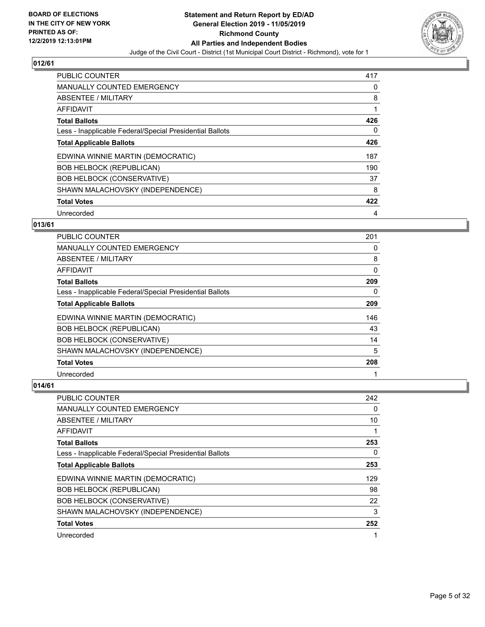

| <b>PUBLIC COUNTER</b>                                    | 417 |
|----------------------------------------------------------|-----|
| <b>MANUALLY COUNTED EMERGENCY</b>                        | 0   |
| ABSENTEE / MILITARY                                      | 8   |
| <b>AFFIDAVIT</b>                                         |     |
| <b>Total Ballots</b>                                     | 426 |
| Less - Inapplicable Federal/Special Presidential Ballots | 0   |
| <b>Total Applicable Ballots</b>                          | 426 |
| EDWINA WINNIE MARTIN (DEMOCRATIC)                        | 187 |
| <b>BOB HELBOCK (REPUBLICAN)</b>                          | 190 |
| <b>BOB HELBOCK (CONSERVATIVE)</b>                        | 37  |
| SHAWN MALACHOVSKY (INDEPENDENCE)                         | 8   |
| <b>Total Votes</b>                                       | 422 |
| Unrecorded                                               | 4   |

## **013/61**

| <b>PUBLIC COUNTER</b>                                    | 201      |
|----------------------------------------------------------|----------|
| <b>MANUALLY COUNTED EMERGENCY</b>                        | 0        |
| ABSENTEE / MILITARY                                      | 8        |
| AFFIDAVIT                                                | 0        |
| <b>Total Ballots</b>                                     | 209      |
| Less - Inapplicable Federal/Special Presidential Ballots | $\Omega$ |
| <b>Total Applicable Ballots</b>                          | 209      |
| EDWINA WINNIE MARTIN (DEMOCRATIC)                        | 146      |
| <b>BOB HELBOCK (REPUBLICAN)</b>                          | 43       |
| <b>BOB HELBOCK (CONSERVATIVE)</b>                        | 14       |
| SHAWN MALACHOVSKY (INDEPENDENCE)                         | 5        |
| <b>Total Votes</b>                                       | 208      |
| Unrecorded                                               | 1        |

| PUBLIC COUNTER                                           | 242 |
|----------------------------------------------------------|-----|
| <b>MANUALLY COUNTED EMERGENCY</b>                        | 0   |
| ABSENTEE / MILITARY                                      | 10  |
| AFFIDAVIT                                                |     |
| <b>Total Ballots</b>                                     | 253 |
| Less - Inapplicable Federal/Special Presidential Ballots | 0   |
| <b>Total Applicable Ballots</b>                          | 253 |
| EDWINA WINNIE MARTIN (DEMOCRATIC)                        | 129 |
| <b>BOB HELBOCK (REPUBLICAN)</b>                          | 98  |
| <b>BOB HELBOCK (CONSERVATIVE)</b>                        | 22  |
| SHAWN MALACHOVSKY (INDEPENDENCE)                         | 3   |
| <b>Total Votes</b>                                       | 252 |
| Unrecorded                                               |     |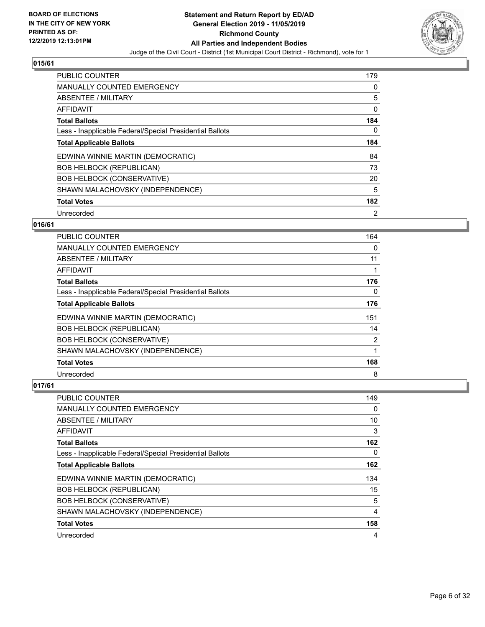

| <b>PUBLIC COUNTER</b>                                    | 179            |
|----------------------------------------------------------|----------------|
| <b>MANUALLY COUNTED EMERGENCY</b>                        | 0              |
| ABSENTEE / MILITARY                                      | 5              |
| <b>AFFIDAVIT</b>                                         | 0              |
| <b>Total Ballots</b>                                     | 184            |
| Less - Inapplicable Federal/Special Presidential Ballots | 0              |
| <b>Total Applicable Ballots</b>                          | 184            |
| EDWINA WINNIE MARTIN (DEMOCRATIC)                        | 84             |
| <b>BOB HELBOCK (REPUBLICAN)</b>                          | 73             |
| <b>BOB HELBOCK (CONSERVATIVE)</b>                        | 20             |
| SHAWN MALACHOVSKY (INDEPENDENCE)                         | 5              |
| <b>Total Votes</b>                                       | 182            |
| Unrecorded                                               | $\overline{2}$ |

#### **016/61**

| PUBLIC COUNTER                                           | 164      |
|----------------------------------------------------------|----------|
| MANUALLY COUNTED EMERGENCY                               | $\Omega$ |
| ABSENTEE / MILITARY                                      | 11       |
| AFFIDAVIT                                                |          |
| <b>Total Ballots</b>                                     | 176      |
| Less - Inapplicable Federal/Special Presidential Ballots | 0        |
| <b>Total Applicable Ballots</b>                          | 176      |
| EDWINA WINNIE MARTIN (DEMOCRATIC)                        | 151      |
| <b>BOB HELBOCK (REPUBLICAN)</b>                          | 14       |
| <b>BOB HELBOCK (CONSERVATIVE)</b>                        | 2        |
| SHAWN MALACHOVSKY (INDEPENDENCE)                         |          |
| <b>Total Votes</b>                                       | 168      |
| Unrecorded                                               | 8        |

| <b>PUBLIC COUNTER</b>                                    | 149            |
|----------------------------------------------------------|----------------|
| <b>MANUALLY COUNTED EMERGENCY</b>                        | $\Omega$       |
| ABSENTEE / MILITARY                                      | 10             |
| AFFIDAVIT                                                | 3              |
| <b>Total Ballots</b>                                     | 162            |
| Less - Inapplicable Federal/Special Presidential Ballots | $\Omega$       |
| <b>Total Applicable Ballots</b>                          | 162            |
| EDWINA WINNIE MARTIN (DEMOCRATIC)                        | 134            |
| <b>BOB HELBOCK (REPUBLICAN)</b>                          | 15             |
| <b>BOB HELBOCK (CONSERVATIVE)</b>                        | 5              |
| SHAWN MALACHOVSKY (INDEPENDENCE)                         | $\overline{4}$ |
| <b>Total Votes</b>                                       | 158            |
| Unrecorded                                               | 4              |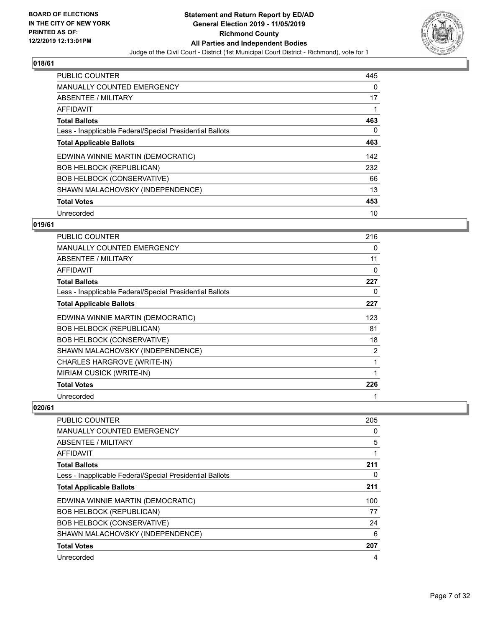

| PUBLIC COUNTER                                           | 445      |
|----------------------------------------------------------|----------|
| <b>MANUALLY COUNTED EMERGENCY</b>                        | $\Omega$ |
| ABSENTEE / MILITARY                                      | 17       |
| <b>AFFIDAVIT</b>                                         |          |
| <b>Total Ballots</b>                                     | 463      |
| Less - Inapplicable Federal/Special Presidential Ballots | $\Omega$ |
| <b>Total Applicable Ballots</b>                          | 463      |
| EDWINA WINNIE MARTIN (DEMOCRATIC)                        | 142      |
| <b>BOB HELBOCK (REPUBLICAN)</b>                          | 232      |
| <b>BOB HELBOCK (CONSERVATIVE)</b>                        | 66       |
| SHAWN MALACHOVSKY (INDEPENDENCE)                         | 13       |
| <b>Total Votes</b>                                       | 453      |
| Unrecorded                                               | 10       |

#### **019/61**

| <b>PUBLIC COUNTER</b>                                    | 216 |
|----------------------------------------------------------|-----|
| <b>MANUALLY COUNTED EMERGENCY</b>                        | 0   |
| <b>ABSENTEE / MILITARY</b>                               | 11  |
| <b>AFFIDAVIT</b>                                         | 0   |
| <b>Total Ballots</b>                                     | 227 |
| Less - Inapplicable Federal/Special Presidential Ballots | 0   |
| <b>Total Applicable Ballots</b>                          | 227 |
| EDWINA WINNIE MARTIN (DEMOCRATIC)                        | 123 |
| <b>BOB HELBOCK (REPUBLICAN)</b>                          | 81  |
| <b>BOB HELBOCK (CONSERVATIVE)</b>                        | 18  |
| SHAWN MALACHOVSKY (INDEPENDENCE)                         | 2   |
| CHARLES HARGROVE (WRITE-IN)                              | 1   |
| MIRIAM CUSICK (WRITE-IN)                                 | 1   |
| <b>Total Votes</b>                                       | 226 |
| Unrecorded                                               |     |

| <b>PUBLIC COUNTER</b>                                    | 205 |
|----------------------------------------------------------|-----|
| <b>MANUALLY COUNTED EMERGENCY</b>                        | 0   |
| ABSENTEE / MILITARY                                      | 5   |
| AFFIDAVIT                                                |     |
| <b>Total Ballots</b>                                     | 211 |
| Less - Inapplicable Federal/Special Presidential Ballots | 0   |
| <b>Total Applicable Ballots</b>                          | 211 |
| EDWINA WINNIE MARTIN (DEMOCRATIC)                        | 100 |
| <b>BOB HELBOCK (REPUBLICAN)</b>                          | 77  |
| <b>BOB HELBOCK (CONSERVATIVE)</b>                        | 24  |
| SHAWN MALACHOVSKY (INDEPENDENCE)                         | 6   |
| <b>Total Votes</b>                                       | 207 |
| Unrecorded                                               | 4   |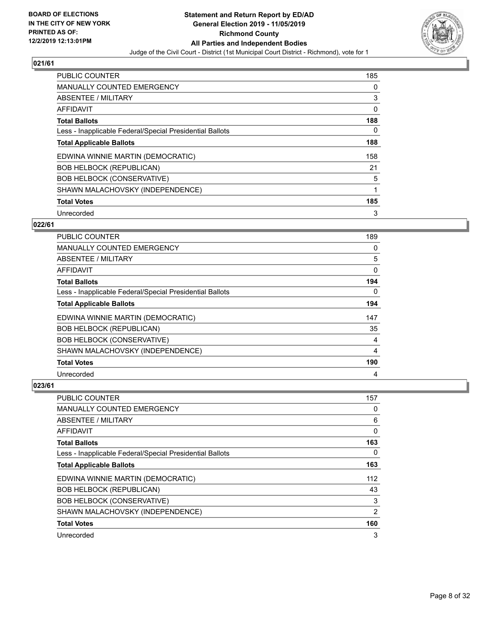

| <b>PUBLIC COUNTER</b>                                    | 185 |
|----------------------------------------------------------|-----|
| <b>MANUALLY COUNTED EMERGENCY</b>                        | 0   |
| ABSENTEE / MILITARY                                      | 3   |
| <b>AFFIDAVIT</b>                                         | 0   |
| <b>Total Ballots</b>                                     | 188 |
| Less - Inapplicable Federal/Special Presidential Ballots | 0   |
| <b>Total Applicable Ballots</b>                          | 188 |
| EDWINA WINNIE MARTIN (DEMOCRATIC)                        | 158 |
| <b>BOB HELBOCK (REPUBLICAN)</b>                          | 21  |
| <b>BOB HELBOCK (CONSERVATIVE)</b>                        | 5   |
| SHAWN MALACHOVSKY (INDEPENDENCE)                         | 1   |
| <b>Total Votes</b>                                       | 185 |
| Unrecorded                                               | 3   |

## **022/61**

| <b>PUBLIC COUNTER</b>                                    | 189 |
|----------------------------------------------------------|-----|
| MANUALLY COUNTED EMERGENCY                               | 0   |
| <b>ABSENTEE / MILITARY</b>                               | 5   |
| AFFIDAVIT                                                | 0   |
| <b>Total Ballots</b>                                     | 194 |
| Less - Inapplicable Federal/Special Presidential Ballots | 0   |
| <b>Total Applicable Ballots</b>                          | 194 |
| EDWINA WINNIE MARTIN (DEMOCRATIC)                        | 147 |
| <b>BOB HELBOCK (REPUBLICAN)</b>                          | 35  |
| <b>BOB HELBOCK (CONSERVATIVE)</b>                        | 4   |
| SHAWN MALACHOVSKY (INDEPENDENCE)                         | 4   |
| <b>Total Votes</b>                                       | 190 |
| Unrecorded                                               | 4   |

| PUBLIC COUNTER                                           | 157            |
|----------------------------------------------------------|----------------|
| <b>MANUALLY COUNTED EMERGENCY</b>                        | 0              |
| ABSENTEE / MILITARY                                      | 6              |
| AFFIDAVIT                                                | 0              |
| <b>Total Ballots</b>                                     | 163            |
| Less - Inapplicable Federal/Special Presidential Ballots | 0              |
| <b>Total Applicable Ballots</b>                          | 163            |
| EDWINA WINNIE MARTIN (DEMOCRATIC)                        | 112            |
| <b>BOB HELBOCK (REPUBLICAN)</b>                          | 43             |
| <b>BOB HELBOCK (CONSERVATIVE)</b>                        | 3              |
| SHAWN MALACHOVSKY (INDEPENDENCE)                         | $\overline{2}$ |
| <b>Total Votes</b>                                       | 160            |
| Unrecorded                                               | 3              |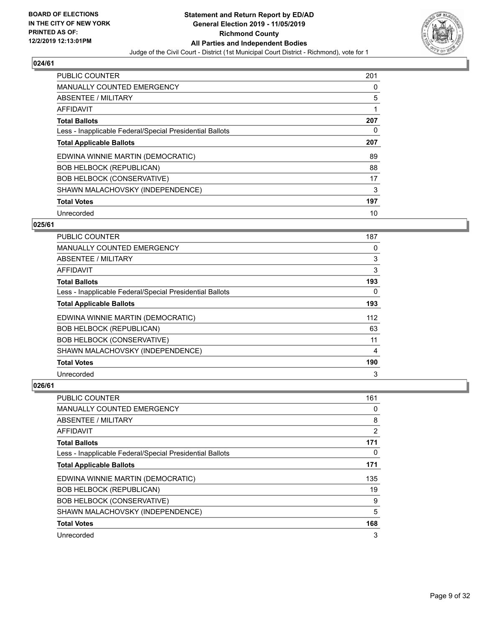

| <b>PUBLIC COUNTER</b>                                    | 201 |
|----------------------------------------------------------|-----|
| <b>MANUALLY COUNTED EMERGENCY</b>                        | 0   |
| ABSENTEE / MILITARY                                      | 5   |
| <b>AFFIDAVIT</b>                                         | 1   |
| <b>Total Ballots</b>                                     | 207 |
| Less - Inapplicable Federal/Special Presidential Ballots | 0   |
| <b>Total Applicable Ballots</b>                          | 207 |
| EDWINA WINNIE MARTIN (DEMOCRATIC)                        | 89  |
| <b>BOB HELBOCK (REPUBLICAN)</b>                          | 88  |
| <b>BOB HELBOCK (CONSERVATIVE)</b>                        | 17  |
| SHAWN MALACHOVSKY (INDEPENDENCE)                         | 3   |
| <b>Total Votes</b>                                       | 197 |
| Unrecorded                                               | 10  |

## **025/61**

| <b>PUBLIC COUNTER</b>                                    | 187      |
|----------------------------------------------------------|----------|
| <b>MANUALLY COUNTED EMERGENCY</b>                        | 0        |
| ABSENTEE / MILITARY                                      | 3        |
| AFFIDAVIT                                                | 3        |
| <b>Total Ballots</b>                                     | 193      |
| Less - Inapplicable Federal/Special Presidential Ballots | $\Omega$ |
| <b>Total Applicable Ballots</b>                          | 193      |
| EDWINA WINNIE MARTIN (DEMOCRATIC)                        | 112      |
| <b>BOB HELBOCK (REPUBLICAN)</b>                          | 63       |
| <b>BOB HELBOCK (CONSERVATIVE)</b>                        | 11       |
| SHAWN MALACHOVSKY (INDEPENDENCE)                         | 4        |
| <b>Total Votes</b>                                       | 190      |
| Unrecorded                                               | 3        |

| PUBLIC COUNTER                                           | 161 |
|----------------------------------------------------------|-----|
| MANUALLY COUNTED EMERGENCY                               | 0   |
| ABSENTEE / MILITARY                                      | 8   |
| AFFIDAVIT                                                | 2   |
| <b>Total Ballots</b>                                     | 171 |
| Less - Inapplicable Federal/Special Presidential Ballots | 0   |
| <b>Total Applicable Ballots</b>                          | 171 |
| EDWINA WINNIE MARTIN (DEMOCRATIC)                        | 135 |
| <b>BOB HELBOCK (REPUBLICAN)</b>                          | 19  |
| <b>BOB HELBOCK (CONSERVATIVE)</b>                        | 9   |
| SHAWN MALACHOVSKY (INDEPENDENCE)                         | 5   |
| <b>Total Votes</b>                                       | 168 |
| Unrecorded                                               | 3   |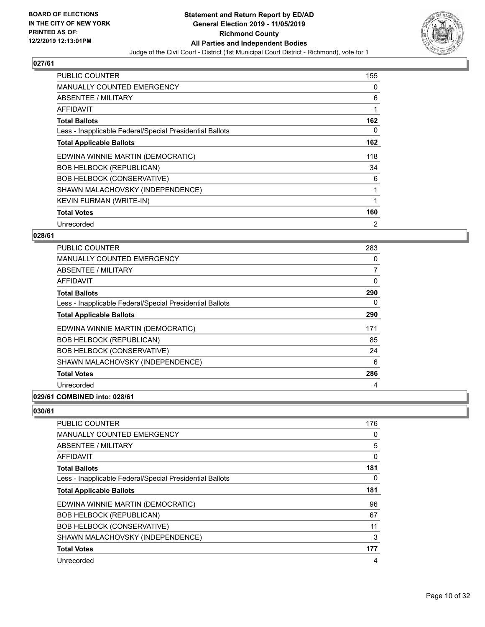

| <b>PUBLIC COUNTER</b>                                    | 155            |
|----------------------------------------------------------|----------------|
| <b>MANUALLY COUNTED EMERGENCY</b>                        | 0              |
| ABSENTEE / MILITARY                                      | 6              |
| <b>AFFIDAVIT</b>                                         | 1              |
| <b>Total Ballots</b>                                     | 162            |
| Less - Inapplicable Federal/Special Presidential Ballots | 0              |
| <b>Total Applicable Ballots</b>                          | 162            |
| EDWINA WINNIE MARTIN (DEMOCRATIC)                        | 118            |
| <b>BOB HELBOCK (REPUBLICAN)</b>                          | 34             |
| <b>BOB HELBOCK (CONSERVATIVE)</b>                        | 6              |
| SHAWN MALACHOVSKY (INDEPENDENCE)                         | 1              |
| KEVIN FURMAN (WRITE-IN)                                  |                |
| <b>Total Votes</b>                                       | 160            |
| Unrecorded                                               | $\overline{2}$ |

#### **028/61**

| <b>PUBLIC COUNTER</b>                                    | 283 |
|----------------------------------------------------------|-----|
| <b>MANUALLY COUNTED EMERGENCY</b>                        | 0   |
| ABSENTEE / MILITARY                                      | 7   |
| AFFIDAVIT                                                | 0   |
| <b>Total Ballots</b>                                     | 290 |
| Less - Inapplicable Federal/Special Presidential Ballots | 0   |
| <b>Total Applicable Ballots</b>                          | 290 |
| EDWINA WINNIE MARTIN (DEMOCRATIC)                        | 171 |
| <b>BOB HELBOCK (REPUBLICAN)</b>                          | 85  |
| <b>BOB HELBOCK (CONSERVATIVE)</b>                        | 24  |
| SHAWN MALACHOVSKY (INDEPENDENCE)                         | 6   |
| <b>Total Votes</b>                                       | 286 |
| Unrecorded                                               | 4   |
|                                                          |     |

## **029/61 COMBINED into: 028/61**

| PUBLIC COUNTER                                           | 176 |
|----------------------------------------------------------|-----|
| <b>MANUALLY COUNTED EMERGENCY</b>                        | 0   |
| ABSENTEE / MILITARY                                      | 5   |
| AFFIDAVIT                                                | 0   |
| <b>Total Ballots</b>                                     | 181 |
| Less - Inapplicable Federal/Special Presidential Ballots | 0   |
| <b>Total Applicable Ballots</b>                          | 181 |
| EDWINA WINNIE MARTIN (DEMOCRATIC)                        | 96  |
| <b>BOB HELBOCK (REPUBLICAN)</b>                          | 67  |
| <b>BOB HELBOCK (CONSERVATIVE)</b>                        | 11  |
| SHAWN MALACHOVSKY (INDEPENDENCE)                         | 3   |
| <b>Total Votes</b>                                       | 177 |
| Unrecorded                                               | 4   |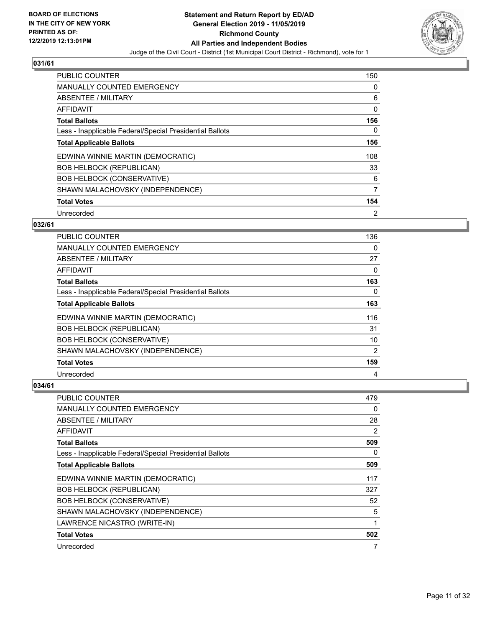

| <b>PUBLIC COUNTER</b>                                    | 150            |
|----------------------------------------------------------|----------------|
| <b>MANUALLY COUNTED EMERGENCY</b>                        | 0              |
| ABSENTEE / MILITARY                                      | 6              |
| <b>AFFIDAVIT</b>                                         | $\Omega$       |
| <b>Total Ballots</b>                                     | 156            |
| Less - Inapplicable Federal/Special Presidential Ballots | 0              |
| <b>Total Applicable Ballots</b>                          | 156            |
| EDWINA WINNIE MARTIN (DEMOCRATIC)                        | 108            |
| <b>BOB HELBOCK (REPUBLICAN)</b>                          | 33             |
| <b>BOB HELBOCK (CONSERVATIVE)</b>                        | 6              |
| SHAWN MALACHOVSKY (INDEPENDENCE)                         | $\overline{7}$ |
| <b>Total Votes</b>                                       | 154            |
| Unrecorded                                               | $\overline{2}$ |

## **032/61**

| <b>PUBLIC COUNTER</b>                                    | 136            |
|----------------------------------------------------------|----------------|
| MANUALLY COUNTED EMERGENCY                               | 0              |
| ABSENTEE / MILITARY                                      | 27             |
| AFFIDAVIT                                                | 0              |
| <b>Total Ballots</b>                                     | 163            |
| Less - Inapplicable Federal/Special Presidential Ballots | 0              |
| <b>Total Applicable Ballots</b>                          | 163            |
| EDWINA WINNIE MARTIN (DEMOCRATIC)                        | 116            |
| <b>BOB HELBOCK (REPUBLICAN)</b>                          | 31             |
| <b>BOB HELBOCK (CONSERVATIVE)</b>                        | 10             |
| SHAWN MALACHOVSKY (INDEPENDENCE)                         | $\overline{2}$ |
| <b>Total Votes</b>                                       | 159            |
| Unrecorded                                               | 4              |

| PUBLIC COUNTER                                           | 479            |
|----------------------------------------------------------|----------------|
| MANUALLY COUNTED EMERGENCY                               | 0              |
| ABSENTEE / MILITARY                                      | 28             |
| AFFIDAVIT                                                | $\overline{2}$ |
| <b>Total Ballots</b>                                     | 509            |
| Less - Inapplicable Federal/Special Presidential Ballots | 0              |
| <b>Total Applicable Ballots</b>                          | 509            |
| EDWINA WINNIE MARTIN (DEMOCRATIC)                        | 117            |
| <b>BOB HELBOCK (REPUBLICAN)</b>                          | 327            |
| <b>BOB HELBOCK (CONSERVATIVE)</b>                        | 52             |
| SHAWN MALACHOVSKY (INDEPENDENCE)                         | 5              |
| LAWRENCE NICASTRO (WRITE-IN)                             | 1              |
| <b>Total Votes</b>                                       | 502            |
| Unrecorded                                               | 7              |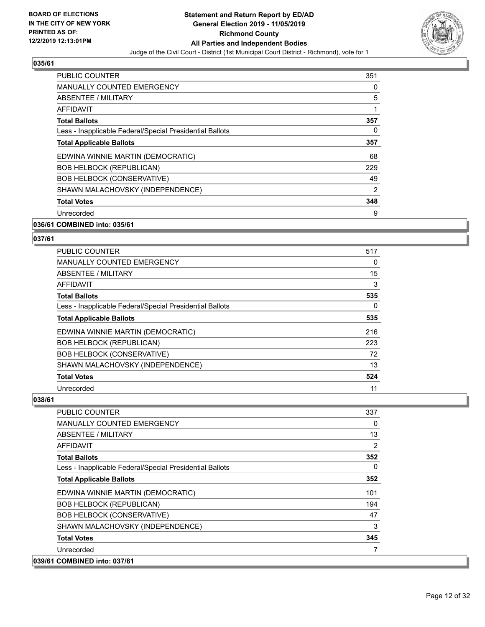

| <b>PUBLIC COUNTER</b>                                    | 351            |
|----------------------------------------------------------|----------------|
| <b>MANUALLY COUNTED EMERGENCY</b>                        | 0              |
| ABSENTEE / MILITARY                                      | 5              |
| AFFIDAVIT                                                | 1              |
| <b>Total Ballots</b>                                     | 357            |
| Less - Inapplicable Federal/Special Presidential Ballots | 0              |
| <b>Total Applicable Ballots</b>                          | 357            |
| EDWINA WINNIE MARTIN (DEMOCRATIC)                        | 68             |
| <b>BOB HELBOCK (REPUBLICAN)</b>                          | 229            |
| <b>BOB HELBOCK (CONSERVATIVE)</b>                        | 49             |
| SHAWN MALACHOVSKY (INDEPENDENCE)                         | $\overline{2}$ |
| <b>Total Votes</b>                                       | 348            |
| Unrecorded                                               | 9              |
|                                                          |                |

#### **036/61 COMBINED into: 035/61**

## **037/61**

| PUBLIC COUNTER                                           | 517 |
|----------------------------------------------------------|-----|
| <b>MANUALLY COUNTED EMERGENCY</b>                        | 0   |
| ABSENTEE / MILITARY                                      | 15  |
| AFFIDAVIT                                                | 3   |
| <b>Total Ballots</b>                                     | 535 |
| Less - Inapplicable Federal/Special Presidential Ballots | 0   |
| <b>Total Applicable Ballots</b>                          | 535 |
| EDWINA WINNIE MARTIN (DEMOCRATIC)                        | 216 |
| <b>BOB HELBOCK (REPUBLICAN)</b>                          | 223 |
| <b>BOB HELBOCK (CONSERVATIVE)</b>                        | 72  |
| SHAWN MALACHOVSKY (INDEPENDENCE)                         | 13  |
| <b>Total Votes</b>                                       | 524 |
| Unrecorded                                               | 11  |

| PUBLIC COUNTER                                           | 337      |
|----------------------------------------------------------|----------|
| <b>MANUALLY COUNTED EMERGENCY</b>                        | 0        |
| <b>ABSENTEE / MILITARY</b>                               | 13       |
| <b>AFFIDAVIT</b>                                         | 2        |
| <b>Total Ballots</b>                                     | 352      |
| Less - Inapplicable Federal/Special Presidential Ballots | $\Omega$ |
| <b>Total Applicable Ballots</b>                          | 352      |
| EDWINA WINNIE MARTIN (DEMOCRATIC)                        | 101      |
| <b>BOB HELBOCK (REPUBLICAN)</b>                          | 194      |
| <b>BOB HELBOCK (CONSERVATIVE)</b>                        | 47       |
| SHAWN MALACHOVSKY (INDEPENDENCE)                         | 3        |
| <b>Total Votes</b>                                       | 345      |
| Unrecorded                                               |          |
| 039/61 COMBINED into: 037/61                             |          |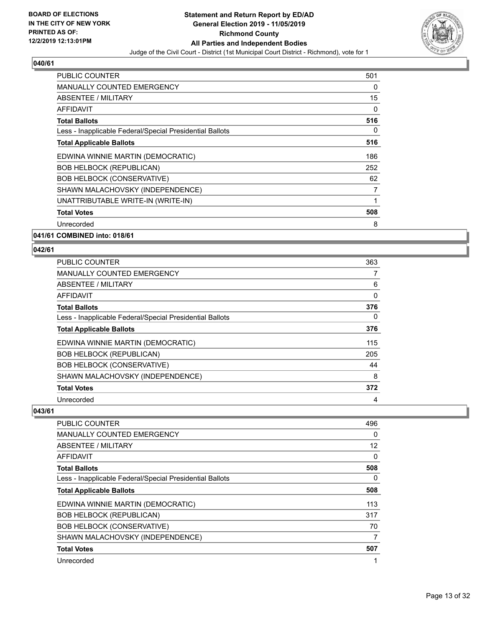

| PUBLIC COUNTER                                           | 501 |
|----------------------------------------------------------|-----|
| <b>MANUALLY COUNTED EMERGENCY</b>                        | 0   |
| ABSENTEE / MILITARY                                      | 15  |
| AFFIDAVIT                                                | 0   |
| <b>Total Ballots</b>                                     | 516 |
| Less - Inapplicable Federal/Special Presidential Ballots | 0   |
| <b>Total Applicable Ballots</b>                          | 516 |
| EDWINA WINNIE MARTIN (DEMOCRATIC)                        | 186 |
| <b>BOB HELBOCK (REPUBLICAN)</b>                          | 252 |
| <b>BOB HELBOCK (CONSERVATIVE)</b>                        | 62  |
| SHAWN MALACHOVSKY (INDEPENDENCE)                         | 7   |
| UNATTRIBUTABLE WRITE-IN (WRITE-IN)                       | 1   |
| <b>Total Votes</b>                                       | 508 |
| Unrecorded                                               | 8   |

**041/61 COMBINED into: 018/61**

#### **042/61**

| <b>PUBLIC COUNTER</b>                                    | 363 |
|----------------------------------------------------------|-----|
| <b>MANUALLY COUNTED EMERGENCY</b>                        |     |
| ABSENTEE / MILITARY                                      | 6   |
| <b>AFFIDAVIT</b>                                         | 0   |
| <b>Total Ballots</b>                                     | 376 |
| Less - Inapplicable Federal/Special Presidential Ballots | 0   |
| <b>Total Applicable Ballots</b>                          | 376 |
| EDWINA WINNIE MARTIN (DEMOCRATIC)                        | 115 |
| <b>BOB HELBOCK (REPUBLICAN)</b>                          | 205 |
| <b>BOB HELBOCK (CONSERVATIVE)</b>                        | 44  |
| SHAWN MALACHOVSKY (INDEPENDENCE)                         | 8   |
| <b>Total Votes</b>                                       | 372 |
| Unrecorded                                               | 4   |

| <b>PUBLIC COUNTER</b>                                    | 496      |
|----------------------------------------------------------|----------|
| <b>MANUALLY COUNTED EMERGENCY</b>                        | $\Omega$ |
| ABSENTEE / MILITARY                                      | 12       |
| AFFIDAVIT                                                | 0        |
| <b>Total Ballots</b>                                     | 508      |
| Less - Inapplicable Federal/Special Presidential Ballots | $\Omega$ |
| <b>Total Applicable Ballots</b>                          | 508      |
| EDWINA WINNIE MARTIN (DEMOCRATIC)                        | 113      |
| <b>BOB HELBOCK (REPUBLICAN)</b>                          | 317      |
| <b>BOB HELBOCK (CONSERVATIVE)</b>                        | 70       |
| SHAWN MALACHOVSKY (INDEPENDENCE)                         | 7        |
| <b>Total Votes</b>                                       | 507      |
| Unrecorded                                               | 1        |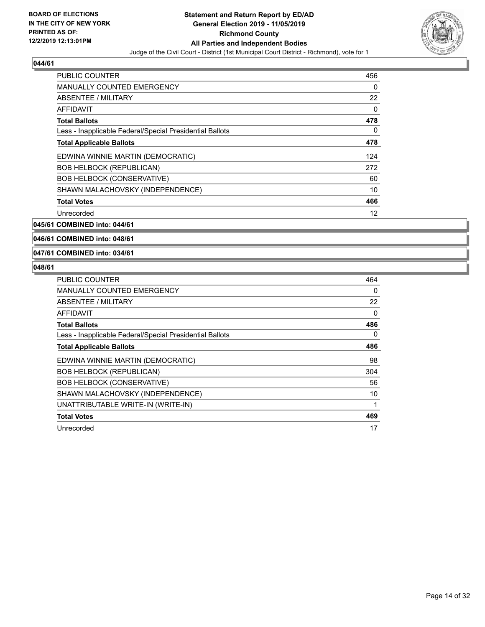

| <b>PUBLIC COUNTER</b>                                    | 456 |
|----------------------------------------------------------|-----|
| <b>MANUALLY COUNTED EMERGENCY</b>                        | 0   |
| ABSENTEE / MILITARY                                      | 22  |
| <b>AFFIDAVIT</b>                                         | 0   |
| <b>Total Ballots</b>                                     | 478 |
| Less - Inapplicable Federal/Special Presidential Ballots | 0   |
| <b>Total Applicable Ballots</b>                          | 478 |
| EDWINA WINNIE MARTIN (DEMOCRATIC)                        | 124 |
| <b>BOB HELBOCK (REPUBLICAN)</b>                          | 272 |
| <b>BOB HELBOCK (CONSERVATIVE)</b>                        | 60  |
| SHAWN MALACHOVSKY (INDEPENDENCE)                         | 10  |
| <b>Total Votes</b>                                       | 466 |
| Unrecorded                                               | 12  |

**045/61 COMBINED into: 044/61**

**046/61 COMBINED into: 048/61**

**047/61 COMBINED into: 034/61**

| <b>PUBLIC COUNTER</b>                                    | 464 |
|----------------------------------------------------------|-----|
| <b>MANUALLY COUNTED EMERGENCY</b>                        | 0   |
| ABSENTEE / MILITARY                                      | 22  |
| AFFIDAVIT                                                | 0   |
| <b>Total Ballots</b>                                     | 486 |
| Less - Inapplicable Federal/Special Presidential Ballots | 0   |
| <b>Total Applicable Ballots</b>                          | 486 |
| EDWINA WINNIE MARTIN (DEMOCRATIC)                        | 98  |
| <b>BOB HELBOCK (REPUBLICAN)</b>                          | 304 |
| <b>BOB HELBOCK (CONSERVATIVE)</b>                        | 56  |
| SHAWN MALACHOVSKY (INDEPENDENCE)                         | 10  |
| UNATTRIBUTABLE WRITE-IN (WRITE-IN)                       | 1   |
| <b>Total Votes</b>                                       | 469 |
| Unrecorded                                               | 17  |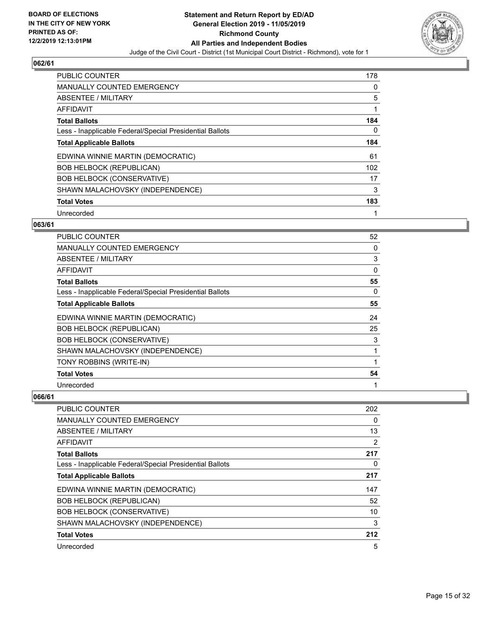

| <b>PUBLIC COUNTER</b>                                    | 178 |
|----------------------------------------------------------|-----|
| <b>MANUALLY COUNTED EMERGENCY</b>                        | 0   |
| ABSENTEE / MILITARY                                      | 5   |
| AFFIDAVIT                                                | 1   |
| <b>Total Ballots</b>                                     | 184 |
| Less - Inapplicable Federal/Special Presidential Ballots | 0   |
| <b>Total Applicable Ballots</b>                          | 184 |
| EDWINA WINNIE MARTIN (DEMOCRATIC)                        | 61  |
| <b>BOB HELBOCK (REPUBLICAN)</b>                          | 102 |
| <b>BOB HELBOCK (CONSERVATIVE)</b>                        | 17  |
| SHAWN MALACHOVSKY (INDEPENDENCE)                         | 3   |
| <b>Total Votes</b>                                       | 183 |
| Unrecorded                                               | 1   |

## **063/61**

| PUBLIC COUNTER                                           | 52           |
|----------------------------------------------------------|--------------|
| MANUALLY COUNTED EMERGENCY                               | 0            |
| ABSENTEE / MILITARY                                      | 3            |
| AFFIDAVIT                                                | $\mathbf{0}$ |
| <b>Total Ballots</b>                                     | 55           |
| Less - Inapplicable Federal/Special Presidential Ballots | 0            |
| <b>Total Applicable Ballots</b>                          | 55           |
| EDWINA WINNIE MARTIN (DEMOCRATIC)                        | 24           |
| <b>BOB HELBOCK (REPUBLICAN)</b>                          | 25           |
| <b>BOB HELBOCK (CONSERVATIVE)</b>                        | 3            |
| SHAWN MALACHOVSKY (INDEPENDENCE)                         | 1            |
| TONY ROBBINS (WRITE-IN)                                  |              |
| <b>Total Votes</b>                                       | 54           |
| Unrecorded                                               | 1            |

| PUBLIC COUNTER                                           | 202 |
|----------------------------------------------------------|-----|
| MANUALLY COUNTED EMERGENCY                               | 0   |
| ABSENTEE / MILITARY                                      | 13  |
| AFFIDAVIT                                                | 2   |
| <b>Total Ballots</b>                                     | 217 |
| Less - Inapplicable Federal/Special Presidential Ballots | 0   |
| <b>Total Applicable Ballots</b>                          | 217 |
| EDWINA WINNIE MARTIN (DEMOCRATIC)                        | 147 |
| <b>BOB HELBOCK (REPUBLICAN)</b>                          | 52  |
| <b>BOB HELBOCK (CONSERVATIVE)</b>                        | 10  |
| SHAWN MALACHOVSKY (INDEPENDENCE)                         | 3   |
| <b>Total Votes</b>                                       | 212 |
| Unrecorded                                               | 5   |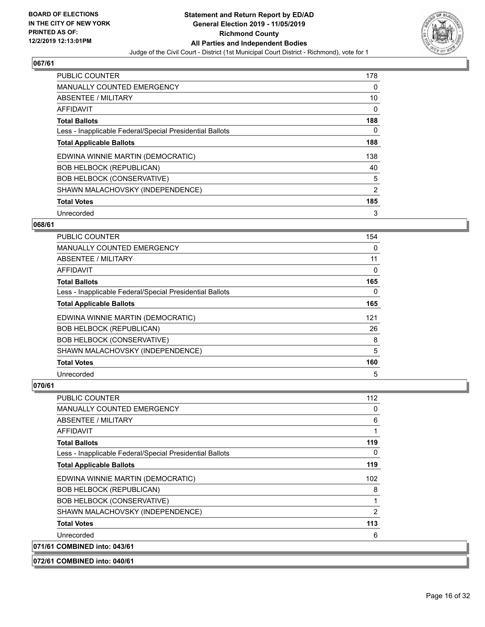

| <b>PUBLIC COUNTER</b>                                    | 178 |
|----------------------------------------------------------|-----|
| <b>MANUALLY COUNTED EMERGENCY</b>                        | 0   |
| ABSENTEE / MILITARY                                      | 10  |
| <b>AFFIDAVIT</b>                                         | 0   |
| <b>Total Ballots</b>                                     | 188 |
| Less - Inapplicable Federal/Special Presidential Ballots | 0   |
| <b>Total Applicable Ballots</b>                          | 188 |
| EDWINA WINNIE MARTIN (DEMOCRATIC)                        | 138 |
| <b>BOB HELBOCK (REPUBLICAN)</b>                          | 40  |
| <b>BOB HELBOCK (CONSERVATIVE)</b>                        | 5   |
| SHAWN MALACHOVSKY (INDEPENDENCE)                         | 2   |
| <b>Total Votes</b>                                       | 185 |
| Unrecorded                                               | 3   |

#### **068/61**

| <b>PUBLIC COUNTER</b>                                    | 154 |
|----------------------------------------------------------|-----|
| <b>MANUALLY COUNTED EMERGENCY</b>                        | 0   |
| ABSENTEE / MILITARY                                      | 11  |
| AFFIDAVIT                                                | 0   |
| <b>Total Ballots</b>                                     | 165 |
| Less - Inapplicable Federal/Special Presidential Ballots | 0   |
| <b>Total Applicable Ballots</b>                          | 165 |
| EDWINA WINNIE MARTIN (DEMOCRATIC)                        | 121 |
| <b>BOB HELBOCK (REPUBLICAN)</b>                          | 26  |
| <b>BOB HELBOCK (CONSERVATIVE)</b>                        | 8   |
| SHAWN MALACHOVSKY (INDEPENDENCE)                         | 5   |
| <b>Total Votes</b>                                       | 160 |
| Unrecorded                                               | 5   |

| <b>PUBLIC COUNTER</b>                                    | 112            |
|----------------------------------------------------------|----------------|
| <b>MANUALLY COUNTED EMERGENCY</b>                        | 0              |
| ABSENTEE / MILITARY                                      | 6              |
| AFFIDAVIT                                                | 1              |
| <b>Total Ballots</b>                                     | 119            |
| Less - Inapplicable Federal/Special Presidential Ballots | 0              |
| <b>Total Applicable Ballots</b>                          | 119            |
| EDWINA WINNIE MARTIN (DEMOCRATIC)                        | 102            |
| <b>BOB HELBOCK (REPUBLICAN)</b>                          | 8              |
| <b>BOB HELBOCK (CONSERVATIVE)</b>                        | 1              |
| SHAWN MALACHOVSKY (INDEPENDENCE)                         | $\overline{2}$ |
| <b>Total Votes</b>                                       | 113            |
| Unrecorded                                               | 6              |
| 071/61 COMBINED into: 043/61                             |                |
| 072/61 COMBINED into: 040/61                             |                |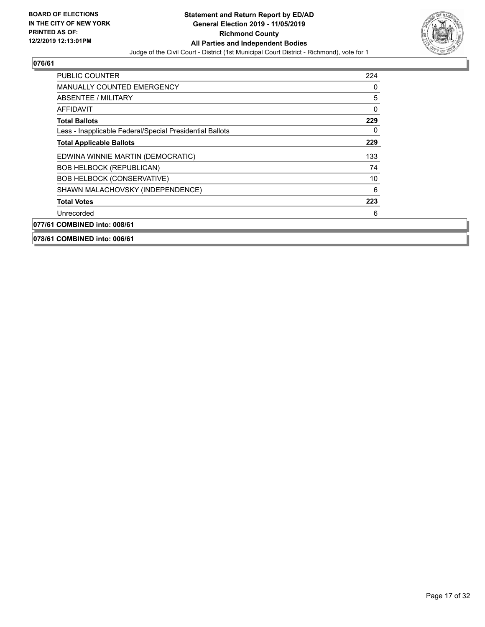

| <b>PUBLIC COUNTER</b>                                    | 224      |
|----------------------------------------------------------|----------|
| <b>MANUALLY COUNTED EMERGENCY</b>                        | 0        |
| ABSENTEE / MILITARY                                      | 5        |
| AFFIDAVIT                                                | $\Omega$ |
| <b>Total Ballots</b>                                     | 229      |
| Less - Inapplicable Federal/Special Presidential Ballots | 0        |
| <b>Total Applicable Ballots</b>                          | 229      |
| EDWINA WINNIE MARTIN (DEMOCRATIC)                        | 133      |
| <b>BOB HELBOCK (REPUBLICAN)</b>                          | 74       |
| <b>BOB HELBOCK (CONSERVATIVE)</b>                        | 10       |
| SHAWN MALACHOVSKY (INDEPENDENCE)                         | 6        |
| <b>Total Votes</b>                                       | 223      |
| Unrecorded                                               | 6        |
| 077/61 COMBINED into: 008/61                             |          |
| 078/61 COMBINED into: 006/61                             |          |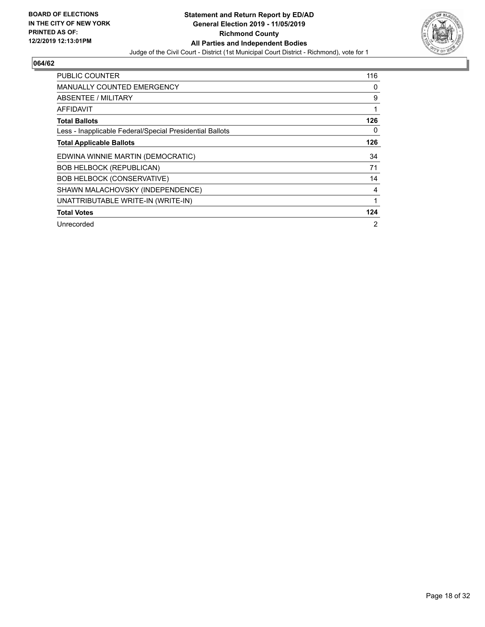

| <b>PUBLIC COUNTER</b>                                    | 116            |
|----------------------------------------------------------|----------------|
| <b>MANUALLY COUNTED EMERGENCY</b>                        | 0              |
| <b>ABSENTEE / MILITARY</b>                               | 9              |
| AFFIDAVIT                                                | 1              |
| <b>Total Ballots</b>                                     | 126            |
| Less - Inapplicable Federal/Special Presidential Ballots | 0              |
| <b>Total Applicable Ballots</b>                          | 126            |
| EDWINA WINNIE MARTIN (DEMOCRATIC)                        | 34             |
| <b>BOB HELBOCK (REPUBLICAN)</b>                          | 71             |
| <b>BOB HELBOCK (CONSERVATIVE)</b>                        | 14             |
| SHAWN MALACHOVSKY (INDEPENDENCE)                         | 4              |
| UNATTRIBUTABLE WRITE-IN (WRITE-IN)                       | 1              |
| <b>Total Votes</b>                                       | 124            |
| Unrecorded                                               | $\overline{2}$ |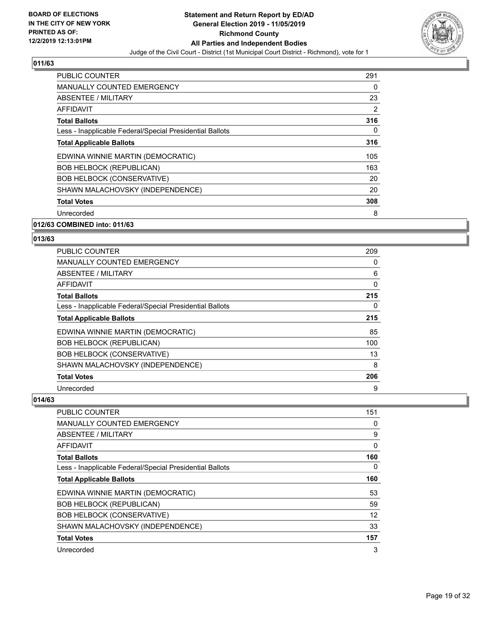

| <b>PUBLIC COUNTER</b>                                    | 291            |
|----------------------------------------------------------|----------------|
| <b>MANUALLY COUNTED EMERGENCY</b>                        | 0              |
| <b>ABSENTEE / MILITARY</b>                               | 23             |
| AFFIDAVIT                                                | $\overline{2}$ |
| <b>Total Ballots</b>                                     | 316            |
| Less - Inapplicable Federal/Special Presidential Ballots | 0              |
| <b>Total Applicable Ballots</b>                          | 316            |
| EDWINA WINNIE MARTIN (DEMOCRATIC)                        | 105            |
| <b>BOB HELBOCK (REPUBLICAN)</b>                          | 163            |
| <b>BOB HELBOCK (CONSERVATIVE)</b>                        | 20             |
| SHAWN MALACHOVSKY (INDEPENDENCE)                         | 20             |
| <b>Total Votes</b>                                       | 308            |
| Unrecorded                                               | 8              |

#### **012/63 COMBINED into: 011/63**

#### **013/63**

| PUBLIC COUNTER                                           | 209 |
|----------------------------------------------------------|-----|
| MANUALLY COUNTED EMERGENCY                               | 0   |
| ABSENTEE / MILITARY                                      | 6   |
| AFFIDAVIT                                                | 0   |
| <b>Total Ballots</b>                                     | 215 |
| Less - Inapplicable Federal/Special Presidential Ballots | 0   |
| <b>Total Applicable Ballots</b>                          | 215 |
| EDWINA WINNIE MARTIN (DEMOCRATIC)                        | 85  |
| <b>BOB HELBOCK (REPUBLICAN)</b>                          | 100 |
| <b>BOB HELBOCK (CONSERVATIVE)</b>                        | 13  |
| SHAWN MALACHOVSKY (INDEPENDENCE)                         | 8   |
| <b>Total Votes</b>                                       | 206 |
| Unrecorded                                               | 9   |

| PUBLIC COUNTER                                           | 151      |
|----------------------------------------------------------|----------|
| <b>MANUALLY COUNTED EMERGENCY</b>                        | 0        |
| ABSENTEE / MILITARY                                      | 9        |
| AFFIDAVIT                                                | $\Omega$ |
| <b>Total Ballots</b>                                     | 160      |
| Less - Inapplicable Federal/Special Presidential Ballots | 0        |
| <b>Total Applicable Ballots</b>                          | 160      |
| EDWINA WINNIE MARTIN (DEMOCRATIC)                        | 53       |
| <b>BOB HELBOCK (REPUBLICAN)</b>                          | 59       |
| <b>BOB HELBOCK (CONSERVATIVE)</b>                        | 12       |
| SHAWN MALACHOVSKY (INDEPENDENCE)                         | 33       |
| <b>Total Votes</b>                                       | 157      |
| Unrecorded                                               | 3        |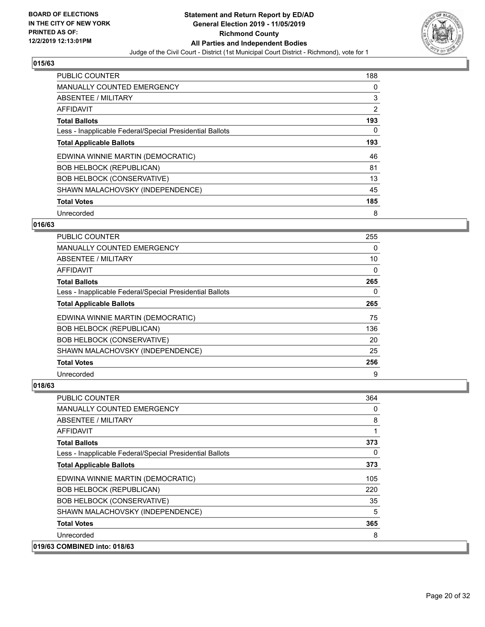

| <b>PUBLIC COUNTER</b>                                    | 188      |
|----------------------------------------------------------|----------|
| <b>MANUALLY COUNTED EMERGENCY</b>                        | 0        |
| ABSENTEE / MILITARY                                      | 3        |
| <b>AFFIDAVIT</b>                                         | 2        |
| <b>Total Ballots</b>                                     | 193      |
| Less - Inapplicable Federal/Special Presidential Ballots | $\Omega$ |
| <b>Total Applicable Ballots</b>                          | 193      |
| EDWINA WINNIE MARTIN (DEMOCRATIC)                        | 46       |
| <b>BOB HELBOCK (REPUBLICAN)</b>                          | 81       |
| <b>BOB HELBOCK (CONSERVATIVE)</b>                        | 13       |
| SHAWN MALACHOVSKY (INDEPENDENCE)                         | 45       |
| <b>Total Votes</b>                                       | 185      |
| Unrecorded                                               | 8        |

## **016/63**

| <b>PUBLIC COUNTER</b>                                    | 255 |
|----------------------------------------------------------|-----|
| <b>MANUALLY COUNTED EMERGENCY</b>                        | 0   |
| ABSENTEE / MILITARY                                      | 10  |
| AFFIDAVIT                                                | 0   |
| <b>Total Ballots</b>                                     | 265 |
| Less - Inapplicable Federal/Special Presidential Ballots | 0   |
| <b>Total Applicable Ballots</b>                          | 265 |
| EDWINA WINNIE MARTIN (DEMOCRATIC)                        | 75  |
| <b>BOB HELBOCK (REPUBLICAN)</b>                          | 136 |
| <b>BOB HELBOCK (CONSERVATIVE)</b>                        | 20  |
| SHAWN MALACHOVSKY (INDEPENDENCE)                         | 25  |
| <b>Total Votes</b>                                       | 256 |
| Unrecorded                                               | 9   |

| PUBLIC COUNTER                                           | 364      |
|----------------------------------------------------------|----------|
| MANUALLY COUNTED EMERGENCY                               | 0        |
| ABSENTEE / MILITARY                                      | 8        |
| AFFIDAVIT                                                | 1        |
| <b>Total Ballots</b>                                     | 373      |
| Less - Inapplicable Federal/Special Presidential Ballots | $\Omega$ |
| <b>Total Applicable Ballots</b>                          | 373      |
| EDWINA WINNIE MARTIN (DEMOCRATIC)                        | 105      |
| <b>BOB HELBOCK (REPUBLICAN)</b>                          | 220      |
| <b>BOB HELBOCK (CONSERVATIVE)</b>                        | 35       |
| SHAWN MALACHOVSKY (INDEPENDENCE)                         | 5        |
| <b>Total Votes</b>                                       | 365      |
| Unrecorded                                               | 8        |
| 019/63 COMBINED into: 018/63                             |          |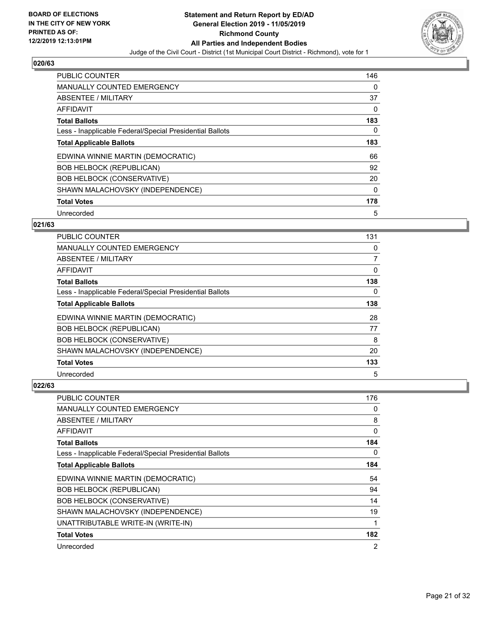

| <b>PUBLIC COUNTER</b>                                    | 146      |
|----------------------------------------------------------|----------|
| <b>MANUALLY COUNTED EMERGENCY</b>                        | 0        |
| ABSENTEE / MILITARY                                      | 37       |
| <b>AFFIDAVIT</b>                                         | 0        |
| <b>Total Ballots</b>                                     | 183      |
| Less - Inapplicable Federal/Special Presidential Ballots | 0        |
| <b>Total Applicable Ballots</b>                          | 183      |
| EDWINA WINNIE MARTIN (DEMOCRATIC)                        | 66       |
| <b>BOB HELBOCK (REPUBLICAN)</b>                          | 92       |
| <b>BOB HELBOCK (CONSERVATIVE)</b>                        | 20       |
| SHAWN MALACHOVSKY (INDEPENDENCE)                         | $\Omega$ |
| <b>Total Votes</b>                                       | 178      |
| Unrecorded                                               | 5        |

## **021/63**

| <b>PUBLIC COUNTER</b>                                    | 131            |
|----------------------------------------------------------|----------------|
| MANUALLY COUNTED EMERGENCY                               | 0              |
| ABSENTEE / MILITARY                                      | $\overline{7}$ |
| AFFIDAVIT                                                | 0              |
| <b>Total Ballots</b>                                     | 138            |
| Less - Inapplicable Federal/Special Presidential Ballots | $\Omega$       |
| <b>Total Applicable Ballots</b>                          | 138            |
| EDWINA WINNIE MARTIN (DEMOCRATIC)                        | 28             |
| <b>BOB HELBOCK (REPUBLICAN)</b>                          | 77             |
| <b>BOB HELBOCK (CONSERVATIVE)</b>                        | 8              |
| SHAWN MALACHOVSKY (INDEPENDENCE)                         | 20             |
| <b>Total Votes</b>                                       | 133            |
| Unrecorded                                               | 5              |

| PUBLIC COUNTER                                           | 176      |
|----------------------------------------------------------|----------|
| <b>MANUALLY COUNTED EMERGENCY</b>                        | 0        |
| ABSENTEE / MILITARY                                      | 8        |
| AFFIDAVIT                                                | $\Omega$ |
| <b>Total Ballots</b>                                     | 184      |
| Less - Inapplicable Federal/Special Presidential Ballots | $\Omega$ |
| <b>Total Applicable Ballots</b>                          | 184      |
| EDWINA WINNIE MARTIN (DEMOCRATIC)                        | 54       |
| <b>BOB HELBOCK (REPUBLICAN)</b>                          | 94       |
| <b>BOB HELBOCK (CONSERVATIVE)</b>                        | 14       |
| SHAWN MALACHOVSKY (INDEPENDENCE)                         | 19       |
| UNATTRIBUTABLE WRITE-IN (WRITE-IN)                       | 1        |
| <b>Total Votes</b>                                       | 182      |
| Unrecorded                                               | 2        |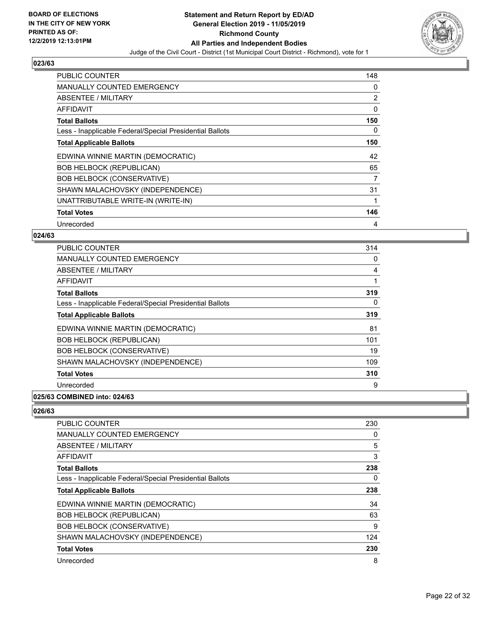

| <b>PUBLIC COUNTER</b>                                    | 148 |
|----------------------------------------------------------|-----|
| <b>MANUALLY COUNTED EMERGENCY</b>                        | 0   |
| <b>ABSENTEE / MILITARY</b>                               | 2   |
| <b>AFFIDAVIT</b>                                         | 0   |
| <b>Total Ballots</b>                                     | 150 |
| Less - Inapplicable Federal/Special Presidential Ballots | 0   |
| <b>Total Applicable Ballots</b>                          | 150 |
| EDWINA WINNIE MARTIN (DEMOCRATIC)                        | 42  |
| <b>BOB HELBOCK (REPUBLICAN)</b>                          | 65  |
| <b>BOB HELBOCK (CONSERVATIVE)</b>                        | 7   |
| SHAWN MALACHOVSKY (INDEPENDENCE)                         | 31  |
| UNATTRIBUTABLE WRITE-IN (WRITE-IN)                       |     |
| <b>Total Votes</b>                                       | 146 |
| Unrecorded                                               | 4   |

#### **024/63**

| <b>PUBLIC COUNTER</b>                                    | 314 |
|----------------------------------------------------------|-----|
| <b>MANUALLY COUNTED EMERGENCY</b>                        | 0   |
| ABSENTEE / MILITARY                                      | 4   |
| AFFIDAVIT                                                | 1   |
| <b>Total Ballots</b>                                     | 319 |
| Less - Inapplicable Federal/Special Presidential Ballots | 0   |
| <b>Total Applicable Ballots</b>                          | 319 |
| EDWINA WINNIE MARTIN (DEMOCRATIC)                        | 81  |
| <b>BOB HELBOCK (REPUBLICAN)</b>                          | 101 |
| <b>BOB HELBOCK (CONSERVATIVE)</b>                        | 19  |
| SHAWN MALACHOVSKY (INDEPENDENCE)                         | 109 |
| <b>Total Votes</b>                                       | 310 |
| Unrecorded                                               | 9   |
|                                                          |     |

## **025/63 COMBINED into: 024/63**

| PUBLIC COUNTER                                           | 230 |
|----------------------------------------------------------|-----|
| <b>MANUALLY COUNTED EMERGENCY</b>                        | 0   |
| ABSENTEE / MILITARY                                      | 5   |
| AFFIDAVIT                                                | 3   |
| <b>Total Ballots</b>                                     | 238 |
| Less - Inapplicable Federal/Special Presidential Ballots | 0   |
| <b>Total Applicable Ballots</b>                          | 238 |
| EDWINA WINNIE MARTIN (DEMOCRATIC)                        | 34  |
| <b>BOB HELBOCK (REPUBLICAN)</b>                          | 63  |
| <b>BOB HELBOCK (CONSERVATIVE)</b>                        | 9   |
| SHAWN MALACHOVSKY (INDEPENDENCE)                         | 124 |
| <b>Total Votes</b>                                       | 230 |
| Unrecorded                                               | 8   |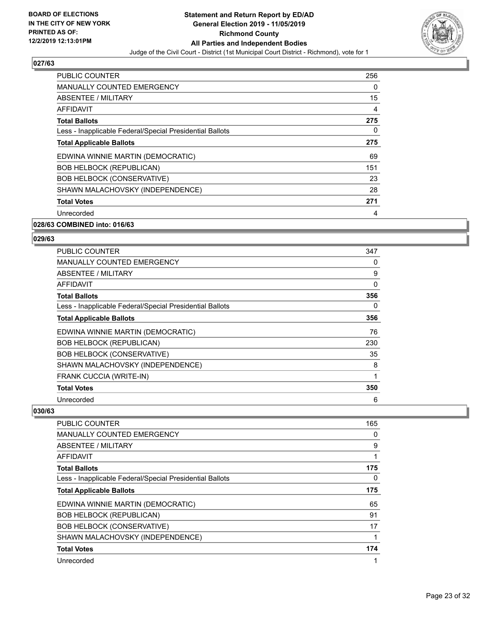

| <b>PUBLIC COUNTER</b>                                    | 256 |
|----------------------------------------------------------|-----|
| <b>MANUALLY COUNTED EMERGENCY</b>                        | 0   |
| ABSENTEE / MILITARY                                      | 15  |
| AFFIDAVIT                                                | 4   |
| <b>Total Ballots</b>                                     | 275 |
| Less - Inapplicable Federal/Special Presidential Ballots | 0   |
| <b>Total Applicable Ballots</b>                          | 275 |
| EDWINA WINNIE MARTIN (DEMOCRATIC)                        | 69  |
| <b>BOB HELBOCK (REPUBLICAN)</b>                          | 151 |
| <b>BOB HELBOCK (CONSERVATIVE)</b>                        | 23  |
| SHAWN MALACHOVSKY (INDEPENDENCE)                         | 28  |
| <b>Total Votes</b>                                       | 271 |
| Unrecorded                                               | 4   |
|                                                          |     |

#### **028/63 COMBINED into: 016/63**

#### **029/63**

| <b>PUBLIC COUNTER</b>                                    | 347 |
|----------------------------------------------------------|-----|
| <b>MANUALLY COUNTED EMERGENCY</b>                        | 0   |
| ABSENTEE / MILITARY                                      | 9   |
| AFFIDAVIT                                                | 0   |
| <b>Total Ballots</b>                                     | 356 |
| Less - Inapplicable Federal/Special Presidential Ballots | 0   |
| <b>Total Applicable Ballots</b>                          | 356 |
| EDWINA WINNIE MARTIN (DEMOCRATIC)                        | 76  |
| <b>BOB HELBOCK (REPUBLICAN)</b>                          | 230 |
| <b>BOB HELBOCK (CONSERVATIVE)</b>                        | 35  |
| SHAWN MALACHOVSKY (INDEPENDENCE)                         | 8   |
| FRANK CUCCIA (WRITE-IN)                                  | 1   |
| <b>Total Votes</b>                                       | 350 |
| Unrecorded                                               | 6   |

| <b>PUBLIC COUNTER</b>                                    | 165 |
|----------------------------------------------------------|-----|
| <b>MANUALLY COUNTED EMERGENCY</b>                        | 0   |
| ABSENTEE / MILITARY                                      | 9   |
| AFFIDAVIT                                                | 1   |
| <b>Total Ballots</b>                                     | 175 |
| Less - Inapplicable Federal/Special Presidential Ballots | 0   |
| <b>Total Applicable Ballots</b>                          | 175 |
| EDWINA WINNIE MARTIN (DEMOCRATIC)                        | 65  |
| <b>BOB HELBOCK (REPUBLICAN)</b>                          | 91  |
| <b>BOB HELBOCK (CONSERVATIVE)</b>                        | 17  |
| SHAWN MALACHOVSKY (INDEPENDENCE)                         | 1   |
| <b>Total Votes</b>                                       | 174 |
| Unrecorded                                               | 1   |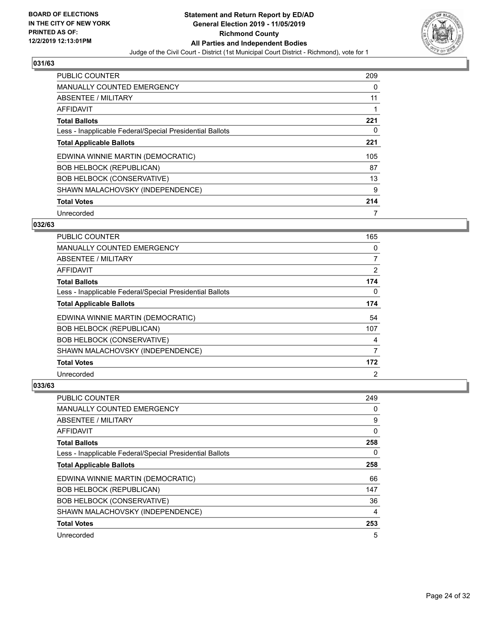

| PUBLIC COUNTER                                           | 209 |
|----------------------------------------------------------|-----|
| <b>MANUALLY COUNTED EMERGENCY</b>                        | 0   |
| ABSENTEE / MILITARY                                      | 11  |
| AFFIDAVIT                                                |     |
| <b>Total Ballots</b>                                     | 221 |
| Less - Inapplicable Federal/Special Presidential Ballots | 0   |
| <b>Total Applicable Ballots</b>                          | 221 |
| EDWINA WINNIE MARTIN (DEMOCRATIC)                        | 105 |
| <b>BOB HELBOCK (REPUBLICAN)</b>                          | 87  |
| <b>BOB HELBOCK (CONSERVATIVE)</b>                        | 13  |
| SHAWN MALACHOVSKY (INDEPENDENCE)                         | 9   |
| <b>Total Votes</b>                                       | 214 |
| Unrecorded                                               | 7   |

## **032/63**

| <b>PUBLIC COUNTER</b>                                    | 165            |
|----------------------------------------------------------|----------------|
| <b>MANUALLY COUNTED EMERGENCY</b>                        | 0              |
| ABSENTEE / MILITARY                                      | $\overline{7}$ |
| AFFIDAVIT                                                | $\overline{2}$ |
| <b>Total Ballots</b>                                     | 174            |
| Less - Inapplicable Federal/Special Presidential Ballots | 0              |
| <b>Total Applicable Ballots</b>                          | 174            |
| EDWINA WINNIE MARTIN (DEMOCRATIC)                        | 54             |
| <b>BOB HELBOCK (REPUBLICAN)</b>                          | 107            |
| <b>BOB HELBOCK (CONSERVATIVE)</b>                        | 4              |
| SHAWN MALACHOVSKY (INDEPENDENCE)                         | 7              |
| <b>Total Votes</b>                                       | 172            |
| Unrecorded                                               | 2              |

| PUBLIC COUNTER                                           | 249 |
|----------------------------------------------------------|-----|
| <b>MANUALLY COUNTED EMERGENCY</b>                        | 0   |
| ABSENTEE / MILITARY                                      | 9   |
| AFFIDAVIT                                                | 0   |
| <b>Total Ballots</b>                                     | 258 |
| Less - Inapplicable Federal/Special Presidential Ballots | 0   |
| <b>Total Applicable Ballots</b>                          | 258 |
| EDWINA WINNIE MARTIN (DEMOCRATIC)                        | 66  |
| <b>BOB HELBOCK (REPUBLICAN)</b>                          | 147 |
| <b>BOB HELBOCK (CONSERVATIVE)</b>                        | 36  |
| SHAWN MALACHOVSKY (INDEPENDENCE)                         | 4   |
| <b>Total Votes</b>                                       | 253 |
| Unrecorded                                               | 5   |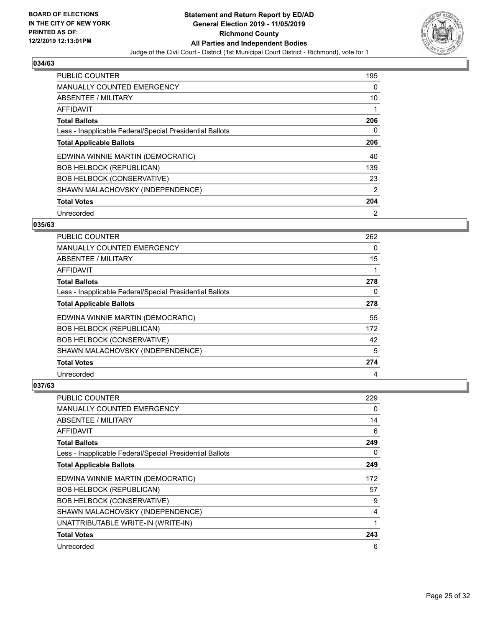

| PUBLIC COUNTER                                           | 195            |
|----------------------------------------------------------|----------------|
| <b>MANUALLY COUNTED EMERGENCY</b>                        | 0              |
| ABSENTEE / MILITARY                                      | 10             |
| <b>AFFIDAVIT</b>                                         |                |
| <b>Total Ballots</b>                                     | 206            |
| Less - Inapplicable Federal/Special Presidential Ballots | 0              |
| <b>Total Applicable Ballots</b>                          | 206            |
| EDWINA WINNIE MARTIN (DEMOCRATIC)                        | 40             |
| <b>BOB HELBOCK (REPUBLICAN)</b>                          | 139            |
| <b>BOB HELBOCK (CONSERVATIVE)</b>                        | 23             |
| SHAWN MALACHOVSKY (INDEPENDENCE)                         | $\overline{2}$ |
| <b>Total Votes</b>                                       | 204            |
| Unrecorded                                               | 2              |

#### **035/63**

| <b>PUBLIC COUNTER</b>                                    | 262 |
|----------------------------------------------------------|-----|
| MANUALLY COUNTED EMERGENCY                               | 0   |
| ABSENTEE / MILITARY                                      | 15  |
| AFFIDAVIT                                                |     |
| <b>Total Ballots</b>                                     | 278 |
| Less - Inapplicable Federal/Special Presidential Ballots | 0   |
| <b>Total Applicable Ballots</b>                          | 278 |
| EDWINA WINNIE MARTIN (DEMOCRATIC)                        | 55  |
| <b>BOB HELBOCK (REPUBLICAN)</b>                          | 172 |
| <b>BOB HELBOCK (CONSERVATIVE)</b>                        | 42  |
| SHAWN MALACHOVSKY (INDEPENDENCE)                         | 5   |
| <b>Total Votes</b>                                       | 274 |
| Unrecorded                                               | 4   |

| PUBLIC COUNTER                                           | 229      |
|----------------------------------------------------------|----------|
| MANUALLY COUNTED EMERGENCY                               | 0        |
| ABSENTEE / MILITARY                                      | 14       |
| AFFIDAVIT                                                | 6        |
| <b>Total Ballots</b>                                     | 249      |
| Less - Inapplicable Federal/Special Presidential Ballots | $\Omega$ |
| <b>Total Applicable Ballots</b>                          | 249      |
| EDWINA WINNIE MARTIN (DEMOCRATIC)                        | 172      |
| <b>BOB HELBOCK (REPUBLICAN)</b>                          | 57       |
| <b>BOB HELBOCK (CONSERVATIVE)</b>                        | 9        |
| SHAWN MALACHOVSKY (INDEPENDENCE)                         | 4        |
| UNATTRIBUTABLE WRITE-IN (WRITE-IN)                       | 1        |
| <b>Total Votes</b>                                       | 243      |
| Unrecorded                                               | 6        |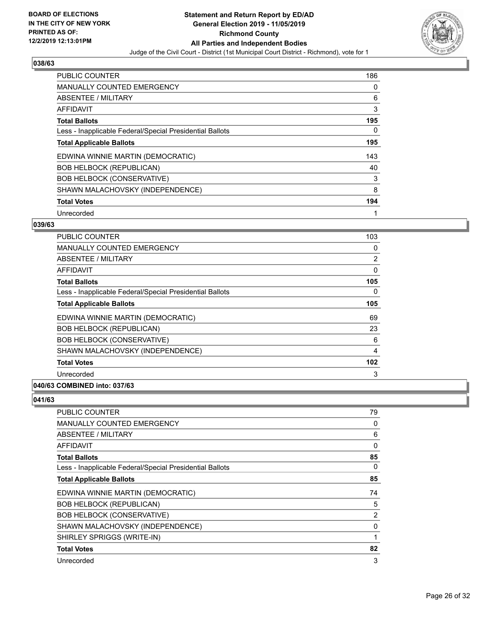

| <b>PUBLIC COUNTER</b>                                    | 186 |
|----------------------------------------------------------|-----|
| <b>MANUALLY COUNTED EMERGENCY</b>                        | 0   |
| ABSENTEE / MILITARY                                      | 6   |
| <b>AFFIDAVIT</b>                                         | 3   |
| <b>Total Ballots</b>                                     | 195 |
| Less - Inapplicable Federal/Special Presidential Ballots | 0   |
| <b>Total Applicable Ballots</b>                          | 195 |
| EDWINA WINNIE MARTIN (DEMOCRATIC)                        | 143 |
| <b>BOB HELBOCK (REPUBLICAN)</b>                          | 40  |
| <b>BOB HELBOCK (CONSERVATIVE)</b>                        | 3   |
| SHAWN MALACHOVSKY (INDEPENDENCE)                         | 8   |
| <b>Total Votes</b>                                       | 194 |
| Unrecorded                                               | 1   |

## **039/63**

| <b>PUBLIC COUNTER</b>                                    | 103 |
|----------------------------------------------------------|-----|
| <b>MANUALLY COUNTED EMERGENCY</b>                        | 0   |
| ABSENTEE / MILITARY                                      | 2   |
| AFFIDAVIT                                                | 0   |
| <b>Total Ballots</b>                                     | 105 |
| Less - Inapplicable Federal/Special Presidential Ballots | 0   |
| <b>Total Applicable Ballots</b>                          | 105 |
| EDWINA WINNIE MARTIN (DEMOCRATIC)                        | 69  |
| <b>BOB HELBOCK (REPUBLICAN)</b>                          | 23  |
| <b>BOB HELBOCK (CONSERVATIVE)</b>                        | 6   |
| SHAWN MALACHOVSKY (INDEPENDENCE)                         | 4   |
| <b>Total Votes</b>                                       | 102 |
| Unrecorded                                               | 3   |
|                                                          |     |

## **040/63 COMBINED into: 037/63**

| PUBLIC COUNTER                                           | 79             |
|----------------------------------------------------------|----------------|
| MANUALLY COUNTED EMERGENCY                               | 0              |
| ABSENTEE / MILITARY                                      | 6              |
| AFFIDAVIT                                                | $\Omega$       |
| <b>Total Ballots</b>                                     | 85             |
| Less - Inapplicable Federal/Special Presidential Ballots | 0              |
| <b>Total Applicable Ballots</b>                          | 85             |
| EDWINA WINNIE MARTIN (DEMOCRATIC)                        | 74             |
| <b>BOB HELBOCK (REPUBLICAN)</b>                          | 5              |
| <b>BOB HELBOCK (CONSERVATIVE)</b>                        | $\overline{2}$ |
| SHAWN MALACHOVSKY (INDEPENDENCE)                         | 0              |
| SHIRLEY SPRIGGS (WRITE-IN)                               |                |
| <b>Total Votes</b>                                       | 82             |
| Unrecorded                                               | 3              |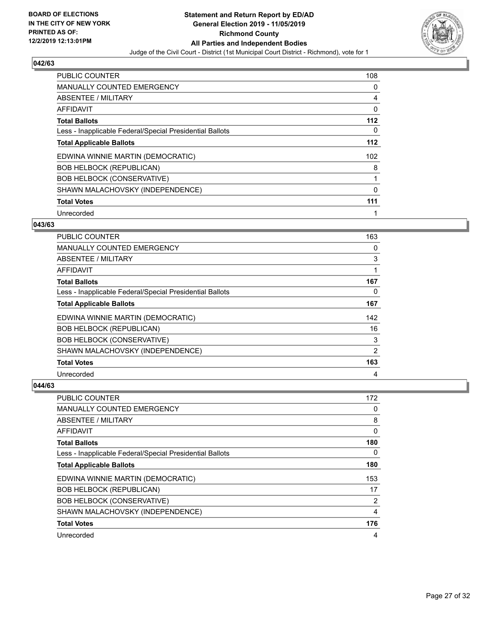

| <b>PUBLIC COUNTER</b>                                    | 108   |
|----------------------------------------------------------|-------|
| <b>MANUALLY COUNTED EMERGENCY</b>                        | 0     |
| ABSENTEE / MILITARY                                      | 4     |
| <b>AFFIDAVIT</b>                                         | 0     |
| <b>Total Ballots</b>                                     | $112$ |
| Less - Inapplicable Federal/Special Presidential Ballots | 0     |
| <b>Total Applicable Ballots</b>                          | $112$ |
| EDWINA WINNIE MARTIN (DEMOCRATIC)                        | 102   |
| <b>BOB HELBOCK (REPUBLICAN)</b>                          | 8     |
| <b>BOB HELBOCK (CONSERVATIVE)</b>                        |       |
| SHAWN MALACHOVSKY (INDEPENDENCE)                         | 0     |
| <b>Total Votes</b>                                       | 111   |
| Unrecorded                                               | 1     |

## **043/63**

| <b>PUBLIC COUNTER</b>                                    | 163 |
|----------------------------------------------------------|-----|
| MANUALLY COUNTED EMERGENCY                               | 0   |
| ABSENTEE / MILITARY                                      | 3   |
| AFFIDAVIT                                                |     |
| <b>Total Ballots</b>                                     | 167 |
| Less - Inapplicable Federal/Special Presidential Ballots | 0   |
| <b>Total Applicable Ballots</b>                          | 167 |
| EDWINA WINNIE MARTIN (DEMOCRATIC)                        | 142 |
| <b>BOB HELBOCK (REPUBLICAN)</b>                          | 16  |
| <b>BOB HELBOCK (CONSERVATIVE)</b>                        | 3   |
| SHAWN MALACHOVSKY (INDEPENDENCE)                         | 2   |
| <b>Total Votes</b>                                       | 163 |
| Unrecorded                                               | 4   |

| PUBLIC COUNTER                                           | 172 |
|----------------------------------------------------------|-----|
| MANUALLY COUNTED EMERGENCY                               | 0   |
| ABSENTEE / MILITARY                                      | 8   |
| AFFIDAVIT                                                | 0   |
| <b>Total Ballots</b>                                     | 180 |
| Less - Inapplicable Federal/Special Presidential Ballots | 0   |
| <b>Total Applicable Ballots</b>                          | 180 |
| EDWINA WINNIE MARTIN (DEMOCRATIC)                        | 153 |
| <b>BOB HELBOCK (REPUBLICAN)</b>                          | 17  |
| <b>BOB HELBOCK (CONSERVATIVE)</b>                        | 2   |
| SHAWN MALACHOVSKY (INDEPENDENCE)                         | 4   |
| <b>Total Votes</b>                                       | 176 |
| Unrecorded                                               | 4   |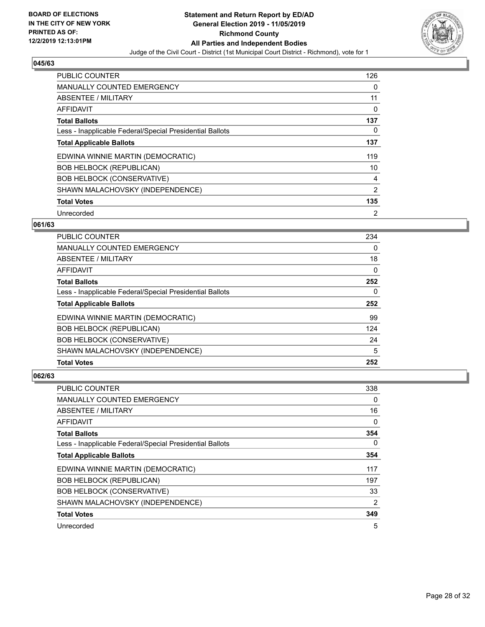

| <b>PUBLIC COUNTER</b>                                    | 126 |
|----------------------------------------------------------|-----|
| <b>MANUALLY COUNTED EMERGENCY</b>                        | 0   |
| ABSENTEE / MILITARY                                      | 11  |
| <b>AFFIDAVIT</b>                                         | 0   |
| <b>Total Ballots</b>                                     | 137 |
| Less - Inapplicable Federal/Special Presidential Ballots | 0   |
| <b>Total Applicable Ballots</b>                          | 137 |
| EDWINA WINNIE MARTIN (DEMOCRATIC)                        | 119 |
| <b>BOB HELBOCK (REPUBLICAN)</b>                          | 10  |
| <b>BOB HELBOCK (CONSERVATIVE)</b>                        | 4   |
| SHAWN MALACHOVSKY (INDEPENDENCE)                         | 2   |
| <b>Total Votes</b>                                       | 135 |
| Unrecorded                                               | 2   |

## **061/63**

| <b>PUBLIC COUNTER</b>                                    | 234      |
|----------------------------------------------------------|----------|
| MANUALLY COUNTED EMERGENCY                               | $\Omega$ |
| ABSENTEE / MILITARY                                      | 18       |
| AFFIDAVIT                                                | $\Omega$ |
| <b>Total Ballots</b>                                     | 252      |
| Less - Inapplicable Federal/Special Presidential Ballots | $\Omega$ |
| <b>Total Applicable Ballots</b>                          | 252      |
| EDWINA WINNIE MARTIN (DEMOCRATIC)                        | 99       |
| <b>BOB HELBOCK (REPUBLICAN)</b>                          | 124      |
| <b>BOB HELBOCK (CONSERVATIVE)</b>                        | 24       |
| SHAWN MALACHOVSKY (INDEPENDENCE)                         | 5        |
| <b>Total Votes</b>                                       | 252      |

| <b>PUBLIC COUNTER</b>                                    | 338            |
|----------------------------------------------------------|----------------|
| <b>MANUALLY COUNTED EMERGENCY</b>                        | 0              |
| ABSENTEE / MILITARY                                      | 16             |
| AFFIDAVIT                                                | 0              |
| <b>Total Ballots</b>                                     | 354            |
| Less - Inapplicable Federal/Special Presidential Ballots | 0              |
| <b>Total Applicable Ballots</b>                          | 354            |
| EDWINA WINNIE MARTIN (DEMOCRATIC)                        | 117            |
| <b>BOB HELBOCK (REPUBLICAN)</b>                          | 197            |
| <b>BOB HELBOCK (CONSERVATIVE)</b>                        | 33             |
| SHAWN MALACHOVSKY (INDEPENDENCE)                         | $\overline{2}$ |
| <b>Total Votes</b>                                       | 349            |
| Unrecorded                                               | 5              |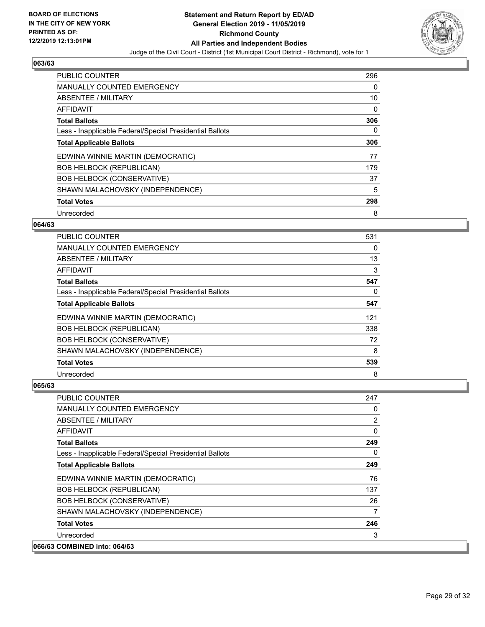

| PUBLIC COUNTER                                           | 296 |
|----------------------------------------------------------|-----|
| <b>MANUALLY COUNTED EMERGENCY</b>                        | 0   |
| ABSENTEE / MILITARY                                      | 10  |
| AFFIDAVIT                                                | 0   |
| <b>Total Ballots</b>                                     | 306 |
| Less - Inapplicable Federal/Special Presidential Ballots | 0   |
| <b>Total Applicable Ballots</b>                          | 306 |
| EDWINA WINNIE MARTIN (DEMOCRATIC)                        | 77  |
| <b>BOB HELBOCK (REPUBLICAN)</b>                          | 179 |
| <b>BOB HELBOCK (CONSERVATIVE)</b>                        | 37  |
| SHAWN MALACHOVSKY (INDEPENDENCE)                         | 5   |
| <b>Total Votes</b>                                       | 298 |
| Unrecorded                                               | 8   |

## **064/63**

| <b>PUBLIC COUNTER</b>                                    | 531 |
|----------------------------------------------------------|-----|
| MANUALLY COUNTED EMERGENCY                               | 0   |
| ABSENTEE / MILITARY                                      | 13  |
| AFFIDAVIT                                                | 3   |
| <b>Total Ballots</b>                                     | 547 |
| Less - Inapplicable Federal/Special Presidential Ballots | 0   |
| <b>Total Applicable Ballots</b>                          | 547 |
| EDWINA WINNIE MARTIN (DEMOCRATIC)                        | 121 |
| <b>BOB HELBOCK (REPUBLICAN)</b>                          | 338 |
| <b>BOB HELBOCK (CONSERVATIVE)</b>                        | 72  |
| SHAWN MALACHOVSKY (INDEPENDENCE)                         | 8   |
| <b>Total Votes</b>                                       | 539 |
| Unrecorded                                               | 8   |

| PUBLIC COUNTER                                           | 247      |
|----------------------------------------------------------|----------|
| <b>MANUALLY COUNTED EMERGENCY</b>                        | 0        |
| ABSENTEE / MILITARY                                      | 2        |
| AFFIDAVIT                                                | $\Omega$ |
| <b>Total Ballots</b>                                     | 249      |
| Less - Inapplicable Federal/Special Presidential Ballots | 0        |
| <b>Total Applicable Ballots</b>                          | 249      |
| EDWINA WINNIE MARTIN (DEMOCRATIC)                        | 76       |
| <b>BOB HELBOCK (REPUBLICAN)</b>                          | 137      |
| <b>BOB HELBOCK (CONSERVATIVE)</b>                        | 26       |
| SHAWN MALACHOVSKY (INDEPENDENCE)                         | 7        |
| <b>Total Votes</b>                                       | 246      |
| Unrecorded                                               | 3        |
| 066/63 COMBINED into: 064/63                             |          |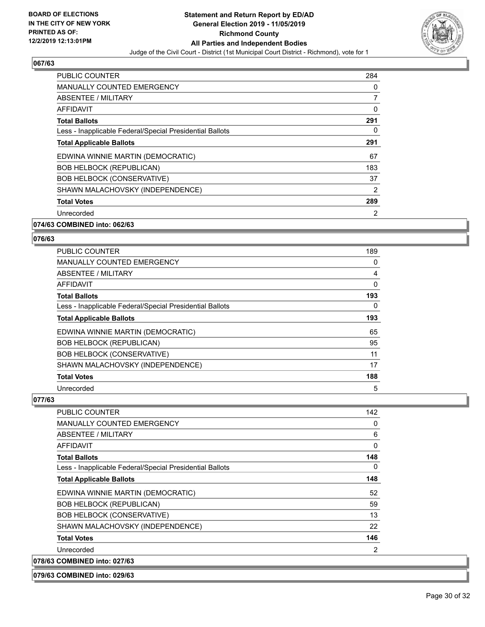

| PUBLIC COUNTER                                           | 284            |
|----------------------------------------------------------|----------------|
| <b>MANUALLY COUNTED EMERGENCY</b>                        | 0              |
| ABSENTEE / MILITARY                                      | 7              |
| AFFIDAVIT                                                | 0              |
| <b>Total Ballots</b>                                     | 291            |
| Less - Inapplicable Federal/Special Presidential Ballots | 0              |
| <b>Total Applicable Ballots</b>                          | 291            |
| EDWINA WINNIE MARTIN (DEMOCRATIC)                        | 67             |
| <b>BOB HELBOCK (REPUBLICAN)</b>                          | 183            |
| <b>BOB HELBOCK (CONSERVATIVE)</b>                        | 37             |
| SHAWN MALACHOVSKY (INDEPENDENCE)                         | $\overline{2}$ |
| <b>Total Votes</b>                                       | 289            |
| Unrecorded                                               | 2              |
|                                                          |                |

## **074/63 COMBINED into: 062/63**

#### **076/63**

| <b>PUBLIC COUNTER</b>                                    | 189 |
|----------------------------------------------------------|-----|
| MANUALLY COUNTED EMERGENCY                               | 0   |
| ABSENTEE / MILITARY                                      | 4   |
| AFFIDAVIT                                                | 0   |
| <b>Total Ballots</b>                                     | 193 |
| Less - Inapplicable Federal/Special Presidential Ballots | 0   |
| <b>Total Applicable Ballots</b>                          | 193 |
| EDWINA WINNIE MARTIN (DEMOCRATIC)                        | 65  |
| <b>BOB HELBOCK (REPUBLICAN)</b>                          | 95  |
| <b>BOB HELBOCK (CONSERVATIVE)</b>                        | 11  |
| SHAWN MALACHOVSKY (INDEPENDENCE)                         | 17  |
| <b>Total Votes</b>                                       | 188 |
| Unrecorded                                               | 5   |

| PUBLIC COUNTER                                           | 142 |
|----------------------------------------------------------|-----|
| <b>MANUALLY COUNTED EMERGENCY</b>                        | 0   |
| <b>ABSENTEE / MILITARY</b>                               | 6   |
| AFFIDAVIT                                                | 0   |
| <b>Total Ballots</b>                                     | 148 |
| Less - Inapplicable Federal/Special Presidential Ballots | 0   |
| <b>Total Applicable Ballots</b>                          | 148 |
| EDWINA WINNIE MARTIN (DEMOCRATIC)                        | 52  |
| <b>BOB HELBOCK (REPUBLICAN)</b>                          | 59  |
| <b>BOB HELBOCK (CONSERVATIVE)</b>                        | 13  |
| SHAWN MALACHOVSKY (INDEPENDENCE)                         | 22  |
| <b>Total Votes</b>                                       | 146 |
| Unrecorded                                               | 2   |
| 078/63 COMBINED into: 027/63                             |     |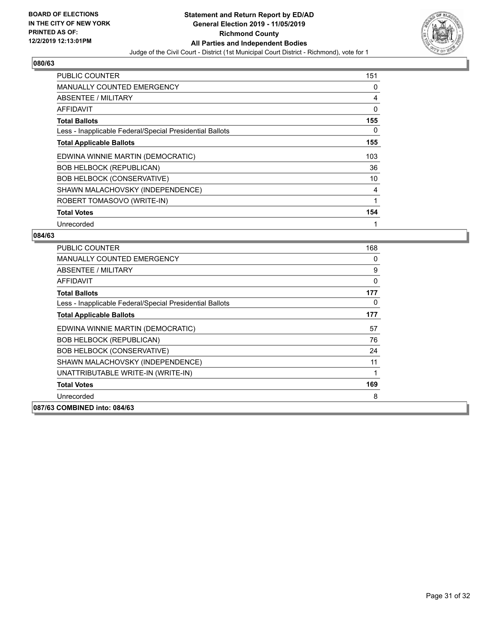

| <b>PUBLIC COUNTER</b>                                    | 151 |
|----------------------------------------------------------|-----|
| <b>MANUALLY COUNTED EMERGENCY</b>                        | 0   |
| ABSENTEE / MILITARY                                      | 4   |
| AFFIDAVIT                                                | 0   |
| <b>Total Ballots</b>                                     | 155 |
| Less - Inapplicable Federal/Special Presidential Ballots | 0   |
| <b>Total Applicable Ballots</b>                          | 155 |
| EDWINA WINNIE MARTIN (DEMOCRATIC)                        | 103 |
| <b>BOB HELBOCK (REPUBLICAN)</b>                          | 36  |
| <b>BOB HELBOCK (CONSERVATIVE)</b>                        | 10  |
| SHAWN MALACHOVSKY (INDEPENDENCE)                         | 4   |
| ROBERT TOMASOVO (WRITE-IN)                               | 1   |
| <b>Total Votes</b>                                       | 154 |
| Unrecorded                                               | 1   |

| <b>PUBLIC COUNTER</b>                                    | 168 |
|----------------------------------------------------------|-----|
| <b>MANUALLY COUNTED EMERGENCY</b>                        | 0   |
| ABSENTEE / MILITARY                                      | 9   |
| <b>AFFIDAVIT</b>                                         | 0   |
| <b>Total Ballots</b>                                     | 177 |
| Less - Inapplicable Federal/Special Presidential Ballots | 0   |
| <b>Total Applicable Ballots</b>                          | 177 |
| EDWINA WINNIE MARTIN (DEMOCRATIC)                        | 57  |
| <b>BOB HELBOCK (REPUBLICAN)</b>                          | 76  |
| <b>BOB HELBOCK (CONSERVATIVE)</b>                        | 24  |
| SHAWN MALACHOVSKY (INDEPENDENCE)                         | 11  |
| UNATTRIBUTABLE WRITE-IN (WRITE-IN)                       | 1   |
| <b>Total Votes</b>                                       | 169 |
| Unrecorded                                               | 8   |
| 087/63 COMBINED into: 084/63                             |     |